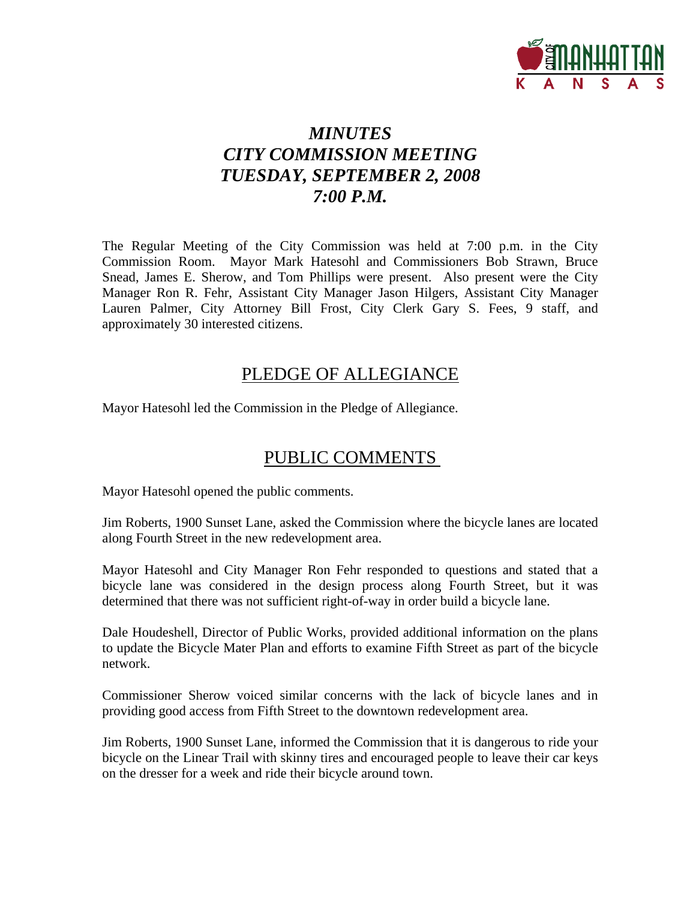

# *MINUTES CITY COMMISSION MEETING TUESDAY, SEPTEMBER 2, 2008 7:00 P.M.*

The Regular Meeting of the City Commission was held at 7:00 p.m. in the City Commission Room. Mayor Mark Hatesohl and Commissioners Bob Strawn, Bruce Snead, James E. Sherow, and Tom Phillips were present. Also present were the City Manager Ron R. Fehr, Assistant City Manager Jason Hilgers, Assistant City Manager Lauren Palmer, City Attorney Bill Frost, City Clerk Gary S. Fees, 9 staff, and approximately 30 interested citizens.

# PLEDGE OF ALLEGIANCE

Mayor Hatesohl led the Commission in the Pledge of Allegiance.

# PUBLIC COMMENTS

Mayor Hatesohl opened the public comments.

Jim Roberts, 1900 Sunset Lane, asked the Commission where the bicycle lanes are located along Fourth Street in the new redevelopment area.

Mayor Hatesohl and City Manager Ron Fehr responded to questions and stated that a bicycle lane was considered in the design process along Fourth Street, but it was determined that there was not sufficient right-of-way in order build a bicycle lane.

Dale Houdeshell, Director of Public Works, provided additional information on the plans to update the Bicycle Mater Plan and efforts to examine Fifth Street as part of the bicycle network.

Commissioner Sherow voiced similar concerns with the lack of bicycle lanes and in providing good access from Fifth Street to the downtown redevelopment area.

Jim Roberts, 1900 Sunset Lane, informed the Commission that it is dangerous to ride your bicycle on the Linear Trail with skinny tires and encouraged people to leave their car keys on the dresser for a week and ride their bicycle around town.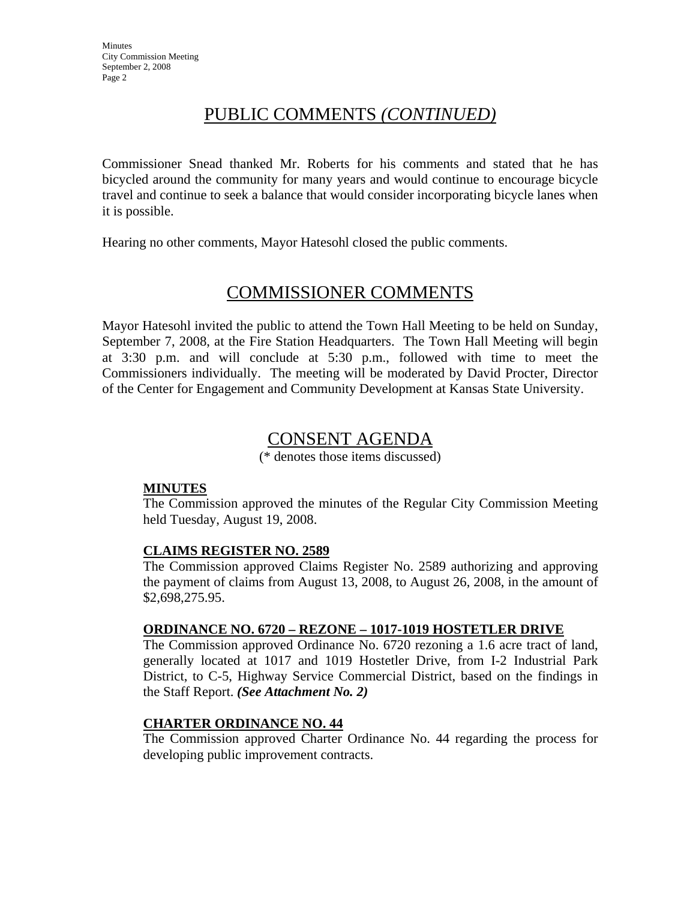# PUBLIC COMMENTS *(CONTINUED)*

Commissioner Snead thanked Mr. Roberts for his comments and stated that he has bicycled around the community for many years and would continue to encourage bicycle travel and continue to seek a balance that would consider incorporating bicycle lanes when it is possible.

Hearing no other comments, Mayor Hatesohl closed the public comments.

# COMMISSIONER COMMENTS

Mayor Hatesohl invited the public to attend the Town Hall Meeting to be held on Sunday, September 7, 2008, at the Fire Station Headquarters. The Town Hall Meeting will begin at 3:30 p.m. and will conclude at 5:30 p.m., followed with time to meet the Commissioners individually. The meeting will be moderated by David Procter, Director of the Center for Engagement and Community Development at Kansas State University.

# CONSENT AGENDA

(\* denotes those items discussed)

### **MINUTES**

The Commission approved the minutes of the Regular City Commission Meeting held Tuesday, August 19, 2008.

### **CLAIMS REGISTER NO. 2589**

The Commission approved Claims Register No. 2589 authorizing and approving the payment of claims from August 13, 2008, to August 26, 2008, in the amount of \$2,698,275.95.

### **ORDINANCE NO. 6720 – REZONE – 1017-1019 HOSTETLER DRIVE**

The Commission approved Ordinance No. 6720 rezoning a 1.6 acre tract of land, generally located at 1017 and 1019 Hostetler Drive, from I-2 Industrial Park District, to C-5, Highway Service Commercial District, based on the findings in the Staff Report. *(See Attachment No. 2)*

## **CHARTER ORDINANCE NO. 44**

The Commission approved Charter Ordinance No. 44 regarding the process for developing public improvement contracts.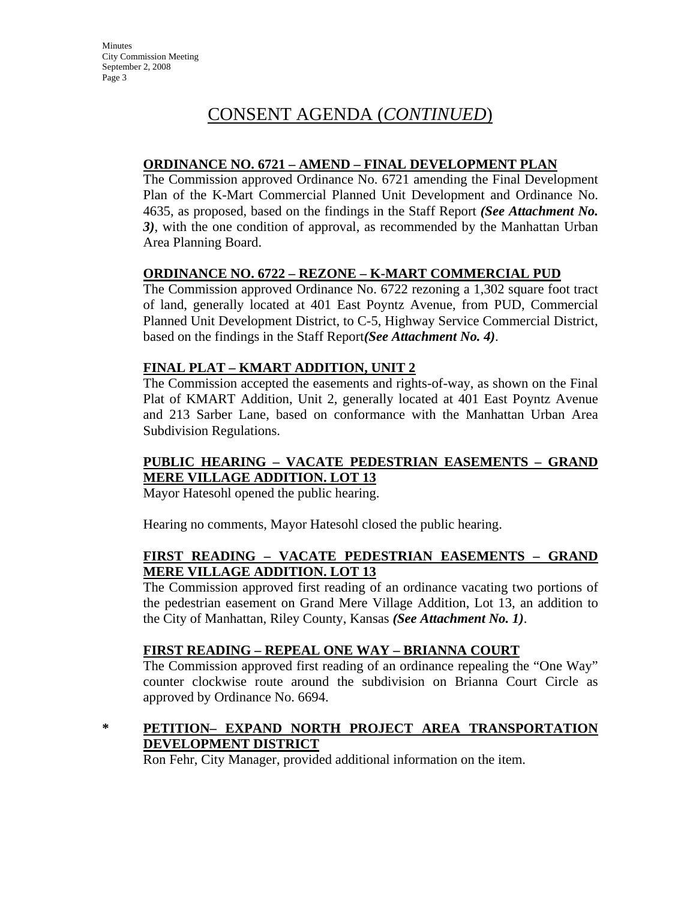# **ORDINANCE NO. 6721 – AMEND – FINAL DEVELOPMENT PLAN**

The Commission approved Ordinance No. 6721 amending the Final Development Plan of the K-Mart Commercial Planned Unit Development and Ordinance No. 4635, as proposed, based on the findings in the Staff Report *(See Attachment No. 3)*, with the one condition of approval, as recommended by the Manhattan Urban Area Planning Board.

# **ORDINANCE NO. 6722 – REZONE – K-MART COMMERCIAL PUD**

The Commission approved Ordinance No. 6722 rezoning a 1,302 square foot tract of land, generally located at 401 East Poyntz Avenue, from PUD, Commercial Planned Unit Development District, to C-5, Highway Service Commercial District, based on the findings in the Staff Report*(See Attachment No. 4)*.

# **FINAL PLAT – KMART ADDITION, UNIT 2**

The Commission accepted the easements and rights-of-way, as shown on the Final Plat of KMART Addition, Unit 2, generally located at 401 East Poyntz Avenue and 213 Sarber Lane, based on conformance with the Manhattan Urban Area Subdivision Regulations.

# **PUBLIC HEARING – VACATE PEDESTRIAN EASEMENTS – GRAND MERE VILLAGE ADDITION. LOT 13**

Mayor Hatesohl opened the public hearing.

Hearing no comments, Mayor Hatesohl closed the public hearing.

# **FIRST READING – VACATE PEDESTRIAN EASEMENTS – GRAND MERE VILLAGE ADDITION. LOT 13**

The Commission approved first reading of an ordinance vacating two portions of the pedestrian easement on Grand Mere Village Addition, Lot 13, an addition to the City of Manhattan, Riley County, Kansas *(See Attachment No. 1)*.

## **FIRST READING – REPEAL ONE WAY – BRIANNA COURT**

The Commission approved first reading of an ordinance repealing the "One Way" counter clockwise route around the subdivision on Brianna Court Circle as approved by Ordinance No. 6694.

# **\* PETITION– EXPAND NORTH PROJECT AREA TRANSPORTATION DEVELOPMENT DISTRICT**

Ron Fehr, City Manager, provided additional information on the item.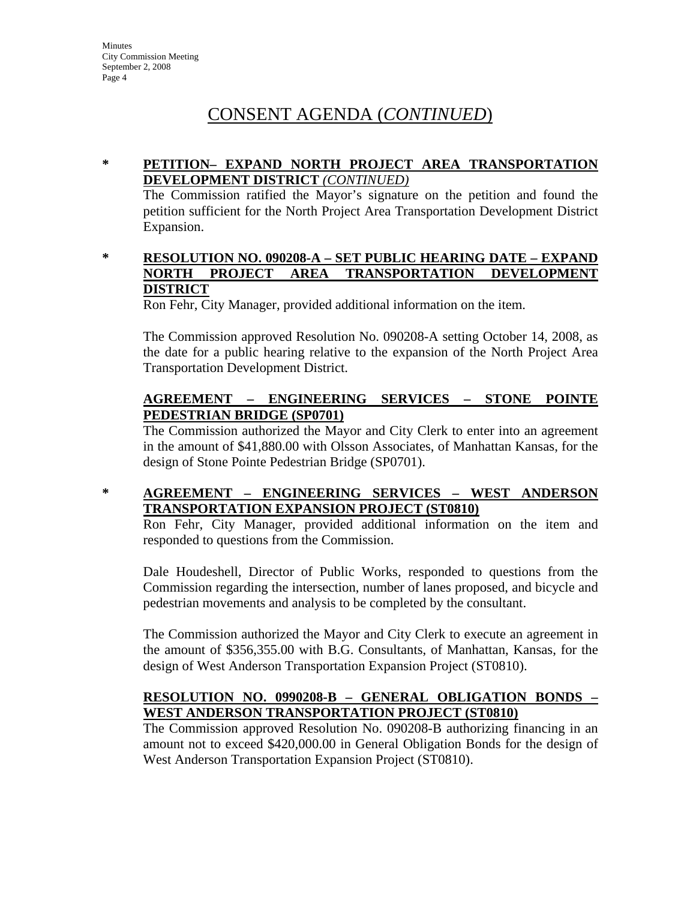## **\* PETITION– EXPAND NORTH PROJECT AREA TRANSPORTATION DEVELOPMENT DISTRICT** *(CONTINUED)*

The Commission ratified the Mayor's signature on the petition and found the petition sufficient for the North Project Area Transportation Development District Expansion.

# **\* RESOLUTION NO. 090208-A – SET PUBLIC HEARING DATE – EXPAND NORTH PROJECT AREA TRANSPORTATION DEVELOPMENT DISTRICT**

Ron Fehr, City Manager, provided additional information on the item.

The Commission approved Resolution No. 090208-A setting October 14, 2008, as the date for a public hearing relative to the expansion of the North Project Area Transportation Development District.

## **AGREEMENT – ENGINEERING SERVICES – STONE POINTE PEDESTRIAN BRIDGE (SP0701)**

The Commission authorized the Mayor and City Clerk to enter into an agreement in the amount of \$41,880.00 with Olsson Associates, of Manhattan Kansas, for the design of Stone Pointe Pedestrian Bridge (SP0701).

**\* AGREEMENT – ENGINEERING SERVICES – WEST ANDERSON TRANSPORTATION EXPANSION PROJECT (ST0810)**

Ron Fehr, City Manager, provided additional information on the item and responded to questions from the Commission.

Dale Houdeshell, Director of Public Works, responded to questions from the Commission regarding the intersection, number of lanes proposed, and bicycle and pedestrian movements and analysis to be completed by the consultant.

The Commission authorized the Mayor and City Clerk to execute an agreement in the amount of \$356,355.00 with B.G. Consultants, of Manhattan, Kansas, for the design of West Anderson Transportation Expansion Project (ST0810).

## **RESOLUTION NO. 0990208-B – GENERAL OBLIGATION BONDS – WEST ANDERSON TRANSPORTATION PROJECT (ST0810)**

The Commission approved Resolution No. 090208-B authorizing financing in an amount not to exceed \$420,000.00 in General Obligation Bonds for the design of West Anderson Transportation Expansion Project (ST0810).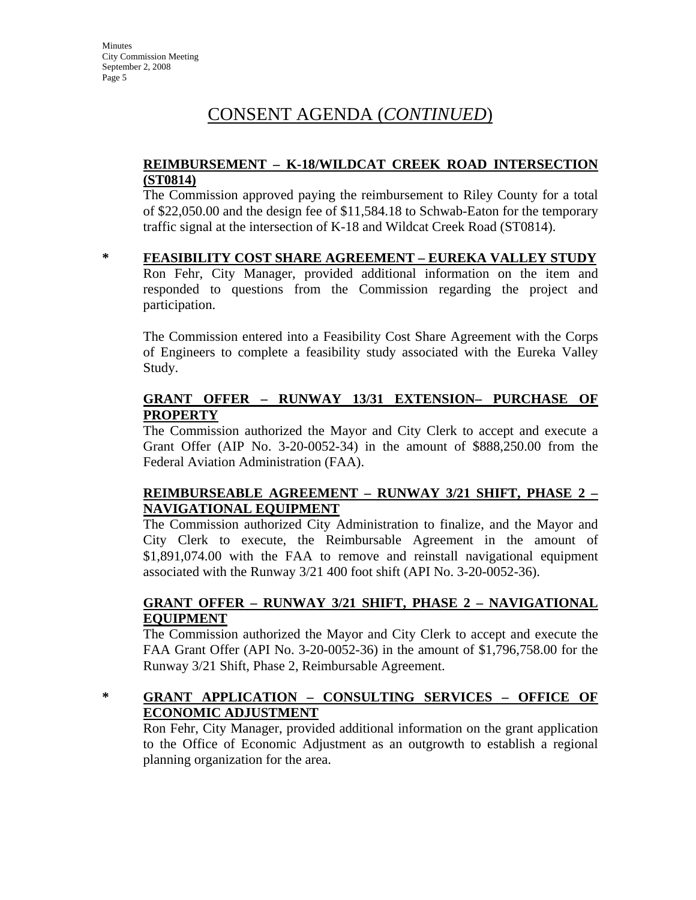### **REIMBURSEMENT – K-18/WILDCAT CREEK ROAD INTERSECTION (ST0814)**

The Commission approved paying the reimbursement to Riley County for a total of \$22,050.00 and the design fee of \$11,584.18 to Schwab-Eaton for the temporary traffic signal at the intersection of K-18 and Wildcat Creek Road (ST0814).

# **\* FEASIBILITY COST SHARE AGREEMENT – EUREKA VALLEY STUDY**

Ron Fehr, City Manager, provided additional information on the item and responded to questions from the Commission regarding the project and participation.

The Commission entered into a Feasibility Cost Share Agreement with the Corps of Engineers to complete a feasibility study associated with the Eureka Valley Study.

## **GRANT OFFER – RUNWAY 13/31 EXTENSION– PURCHASE OF PROPERTY**

The Commission authorized the Mayor and City Clerk to accept and execute a Grant Offer (AIP No. 3-20-0052-34) in the amount of \$888,250.00 from the Federal Aviation Administration (FAA).

# **REIMBURSEABLE AGREEMENT – RUNWAY 3/21 SHIFT, PHASE 2 – NAVIGATIONAL EQUIPMENT**

The Commission authorized City Administration to finalize, and the Mayor and City Clerk to execute, the Reimbursable Agreement in the amount of \$1,891,074.00 with the FAA to remove and reinstall navigational equipment associated with the Runway 3/21 400 foot shift (API No. 3-20-0052-36).

# **GRANT OFFER – RUNWAY 3/21 SHIFT, PHASE 2 – NAVIGATIONAL EQUIPMENT**

The Commission authorized the Mayor and City Clerk to accept and execute the FAA Grant Offer (API No. 3-20-0052-36) in the amount of \$1,796,758.00 for the Runway 3/21 Shift, Phase 2, Reimbursable Agreement.

# **\* GRANT APPLICATION – CONSULTING SERVICES – OFFICE OF ECONOMIC ADJUSTMENT**

Ron Fehr, City Manager, provided additional information on the grant application to the Office of Economic Adjustment as an outgrowth to establish a regional planning organization for the area.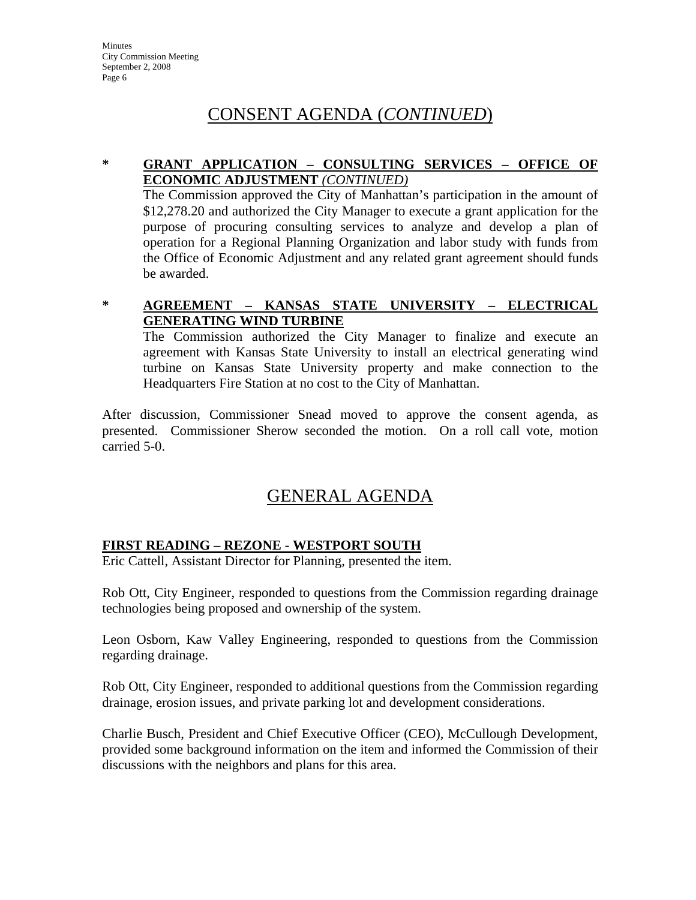### **\* GRANT APPLICATION – CONSULTING SERVICES – OFFICE OF ECONOMIC ADJUSTMENT** *(CONTINUED)*

The Commission approved the City of Manhattan's participation in the amount of \$12,278.20 and authorized the City Manager to execute a grant application for the purpose of procuring consulting services to analyze and develop a plan of operation for a Regional Planning Organization and labor study with funds from the Office of Economic Adjustment and any related grant agreement should funds be awarded.

## **\* AGREEMENT – KANSAS STATE UNIVERSITY – ELECTRICAL GENERATING WIND TURBINE**

The Commission authorized the City Manager to finalize and execute an agreement with Kansas State University to install an electrical generating wind turbine on Kansas State University property and make connection to the Headquarters Fire Station at no cost to the City of Manhattan.

After discussion, Commissioner Snead moved to approve the consent agenda, as presented. Commissioner Sherow seconded the motion. On a roll call vote, motion carried 5-0.

# GENERAL AGENDA

## **FIRST READING – REZONE - WESTPORT SOUTH**

Eric Cattell, Assistant Director for Planning, presented the item.

Rob Ott, City Engineer, responded to questions from the Commission regarding drainage technologies being proposed and ownership of the system.

Leon Osborn, Kaw Valley Engineering, responded to questions from the Commission regarding drainage.

Rob Ott, City Engineer, responded to additional questions from the Commission regarding drainage, erosion issues, and private parking lot and development considerations.

Charlie Busch, President and Chief Executive Officer (CEO), McCullough Development, provided some background information on the item and informed the Commission of their discussions with the neighbors and plans for this area.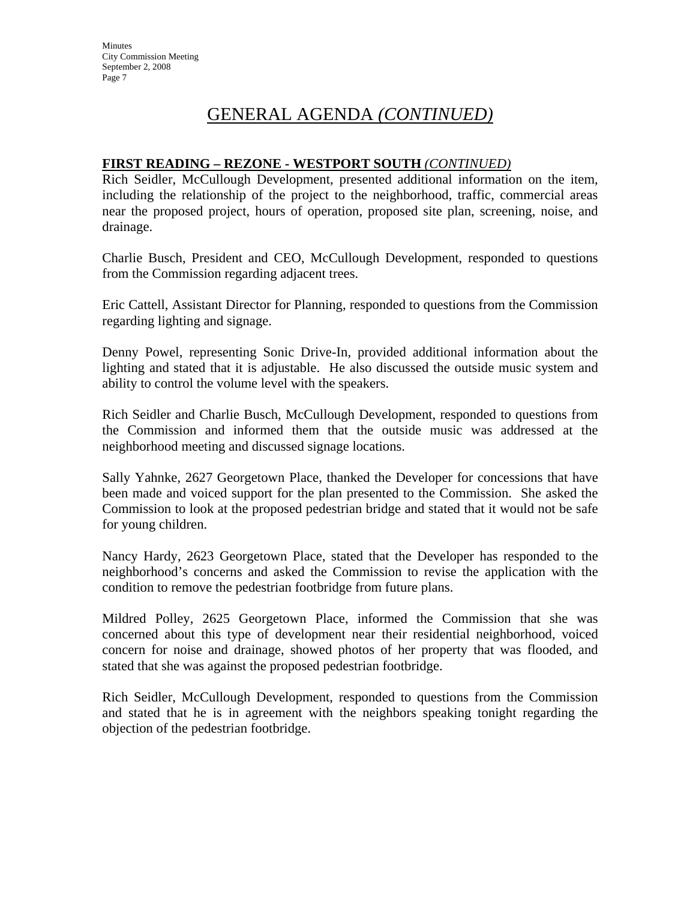### **FIRST READING – REZONE - WESTPORT SOUTH** *(CONTINUED)*

Rich Seidler, McCullough Development, presented additional information on the item, including the relationship of the project to the neighborhood, traffic, commercial areas near the proposed project, hours of operation, proposed site plan, screening, noise, and drainage.

Charlie Busch, President and CEO, McCullough Development, responded to questions from the Commission regarding adjacent trees.

Eric Cattell, Assistant Director for Planning, responded to questions from the Commission regarding lighting and signage.

Denny Powel, representing Sonic Drive-In, provided additional information about the lighting and stated that it is adjustable. He also discussed the outside music system and ability to control the volume level with the speakers.

Rich Seidler and Charlie Busch, McCullough Development, responded to questions from the Commission and informed them that the outside music was addressed at the neighborhood meeting and discussed signage locations.

Sally Yahnke, 2627 Georgetown Place, thanked the Developer for concessions that have been made and voiced support for the plan presented to the Commission. She asked the Commission to look at the proposed pedestrian bridge and stated that it would not be safe for young children.

Nancy Hardy, 2623 Georgetown Place, stated that the Developer has responded to the neighborhood's concerns and asked the Commission to revise the application with the condition to remove the pedestrian footbridge from future plans.

Mildred Polley, 2625 Georgetown Place, informed the Commission that she was concerned about this type of development near their residential neighborhood, voiced concern for noise and drainage, showed photos of her property that was flooded, and stated that she was against the proposed pedestrian footbridge.

Rich Seidler, McCullough Development, responded to questions from the Commission and stated that he is in agreement with the neighbors speaking tonight regarding the objection of the pedestrian footbridge.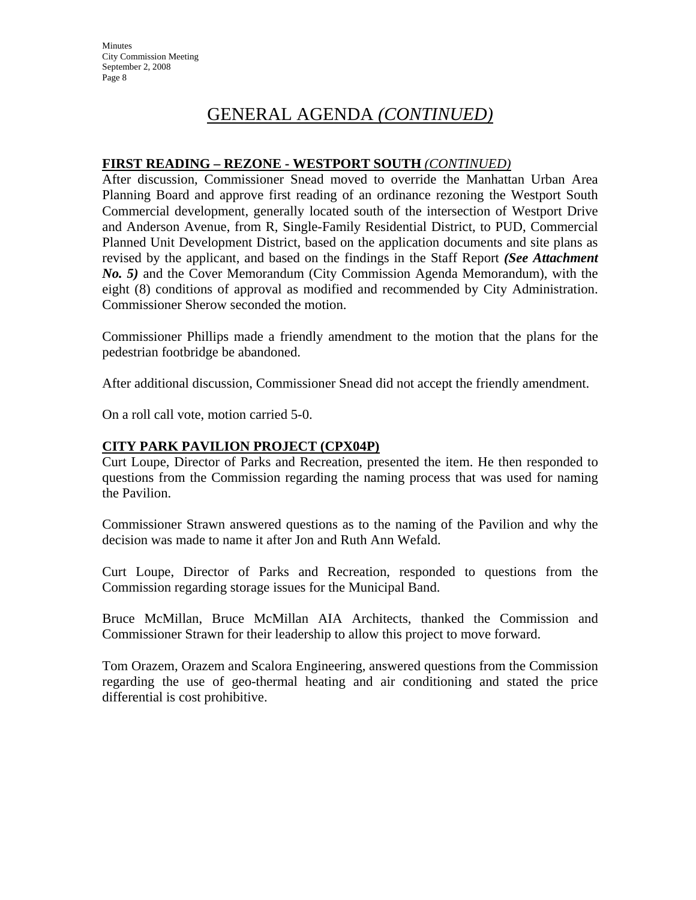### **FIRST READING – REZONE - WESTPORT SOUTH** *(CONTINUED)*

After discussion, Commissioner Snead moved to override the Manhattan Urban Area Planning Board and approve first reading of an ordinance rezoning the Westport South Commercial development, generally located south of the intersection of Westport Drive and Anderson Avenue, from R, Single-Family Residential District, to PUD, Commercial Planned Unit Development District, based on the application documents and site plans as revised by the applicant, and based on the findings in the Staff Report *(See Attachment No. 5)* and the Cover Memorandum (City Commission Agenda Memorandum), with the eight (8) conditions of approval as modified and recommended by City Administration. Commissioner Sherow seconded the motion.

Commissioner Phillips made a friendly amendment to the motion that the plans for the pedestrian footbridge be abandoned.

After additional discussion, Commissioner Snead did not accept the friendly amendment.

On a roll call vote, motion carried 5-0.

## **CITY PARK PAVILION PROJECT (CPX04P)**

Curt Loupe, Director of Parks and Recreation, presented the item. He then responded to questions from the Commission regarding the naming process that was used for naming the Pavilion.

Commissioner Strawn answered questions as to the naming of the Pavilion and why the decision was made to name it after Jon and Ruth Ann Wefald.

Curt Loupe, Director of Parks and Recreation, responded to questions from the Commission regarding storage issues for the Municipal Band.

Bruce McMillan, Bruce McMillan AIA Architects, thanked the Commission and Commissioner Strawn for their leadership to allow this project to move forward.

Tom Orazem, Orazem and Scalora Engineering, answered questions from the Commission regarding the use of geo-thermal heating and air conditioning and stated the price differential is cost prohibitive.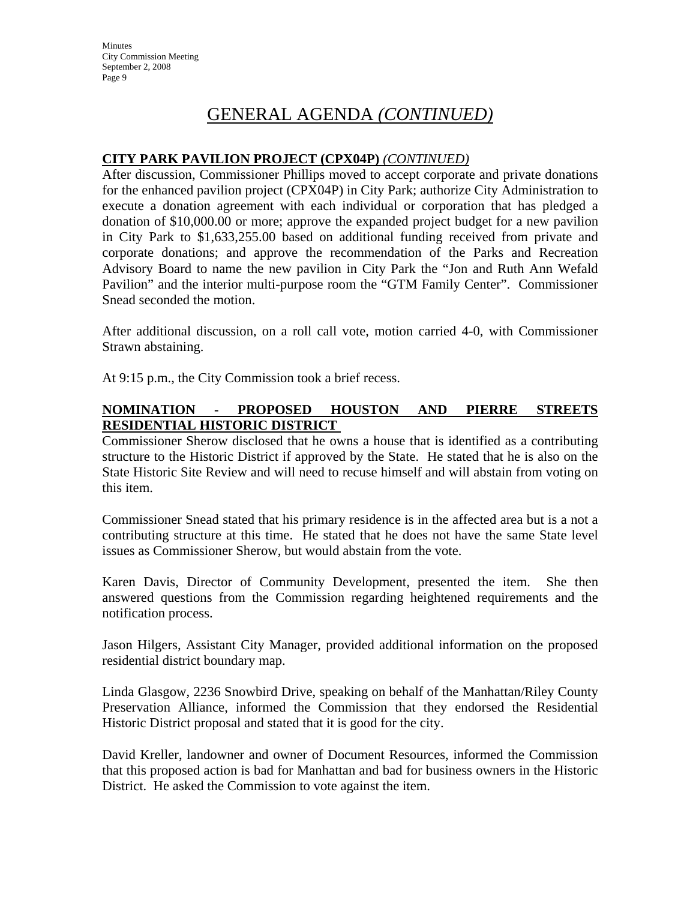# **CITY PARK PAVILION PROJECT (CPX04P)** *(CONTINUED)*

After discussion, Commissioner Phillips moved to accept corporate and private donations for the enhanced pavilion project (CPX04P) in City Park; authorize City Administration to execute a donation agreement with each individual or corporation that has pledged a donation of \$10,000.00 or more; approve the expanded project budget for a new pavilion in City Park to \$1,633,255.00 based on additional funding received from private and corporate donations; and approve the recommendation of the Parks and Recreation Advisory Board to name the new pavilion in City Park the "Jon and Ruth Ann Wefald Pavilion" and the interior multi-purpose room the "GTM Family Center". Commissioner Snead seconded the motion.

After additional discussion, on a roll call vote, motion carried 4-0, with Commissioner Strawn abstaining.

At 9:15 p.m., the City Commission took a brief recess.

# **NOMINATION - PROPOSED HOUSTON AND PIERRE STREETS RESIDENTIAL HISTORIC DISTRICT**

Commissioner Sherow disclosed that he owns a house that is identified as a contributing structure to the Historic District if approved by the State. He stated that he is also on the State Historic Site Review and will need to recuse himself and will abstain from voting on this item.

Commissioner Snead stated that his primary residence is in the affected area but is a not a contributing structure at this time. He stated that he does not have the same State level issues as Commissioner Sherow, but would abstain from the vote.

Karen Davis, Director of Community Development, presented the item. She then answered questions from the Commission regarding heightened requirements and the notification process.

Jason Hilgers, Assistant City Manager, provided additional information on the proposed residential district boundary map.

Linda Glasgow, 2236 Snowbird Drive, speaking on behalf of the Manhattan/Riley County Preservation Alliance, informed the Commission that they endorsed the Residential Historic District proposal and stated that it is good for the city.

David Kreller, landowner and owner of Document Resources, informed the Commission that this proposed action is bad for Manhattan and bad for business owners in the Historic District. He asked the Commission to vote against the item.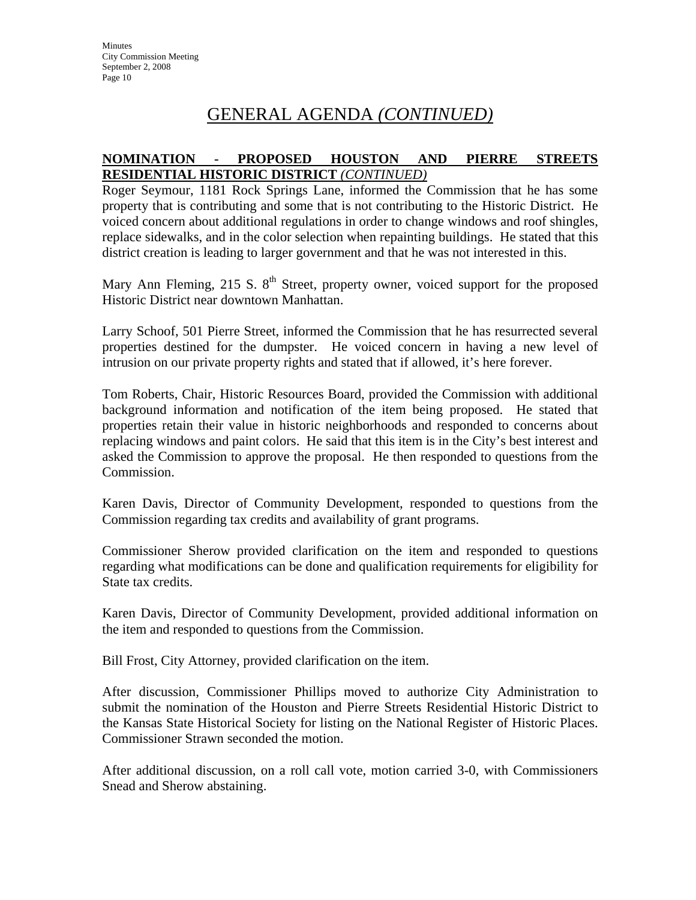# **NOMINATION - PROPOSED HOUSTON AND PIERRE STREETS RESIDENTIAL HISTORIC DISTRICT** *(CONTINUED)*

Roger Seymour, 1181 Rock Springs Lane, informed the Commission that he has some property that is contributing and some that is not contributing to the Historic District. He voiced concern about additional regulations in order to change windows and roof shingles, replace sidewalks, and in the color selection when repainting buildings. He stated that this district creation is leading to larger government and that he was not interested in this.

Mary Ann Fleming, 215 S.  $8<sup>th</sup>$  Street, property owner, voiced support for the proposed Historic District near downtown Manhattan.

Larry Schoof, 501 Pierre Street, informed the Commission that he has resurrected several properties destined for the dumpster. He voiced concern in having a new level of intrusion on our private property rights and stated that if allowed, it's here forever.

Tom Roberts, Chair, Historic Resources Board, provided the Commission with additional background information and notification of the item being proposed. He stated that properties retain their value in historic neighborhoods and responded to concerns about replacing windows and paint colors. He said that this item is in the City's best interest and asked the Commission to approve the proposal. He then responded to questions from the Commission.

Karen Davis, Director of Community Development, responded to questions from the Commission regarding tax credits and availability of grant programs.

Commissioner Sherow provided clarification on the item and responded to questions regarding what modifications can be done and qualification requirements for eligibility for State tax credits.

Karen Davis, Director of Community Development, provided additional information on the item and responded to questions from the Commission.

Bill Frost, City Attorney, provided clarification on the item.

After discussion, Commissioner Phillips moved to authorize City Administration to submit the nomination of the Houston and Pierre Streets Residential Historic District to the Kansas State Historical Society for listing on the National Register of Historic Places. Commissioner Strawn seconded the motion.

After additional discussion, on a roll call vote, motion carried 3-0, with Commissioners Snead and Sherow abstaining.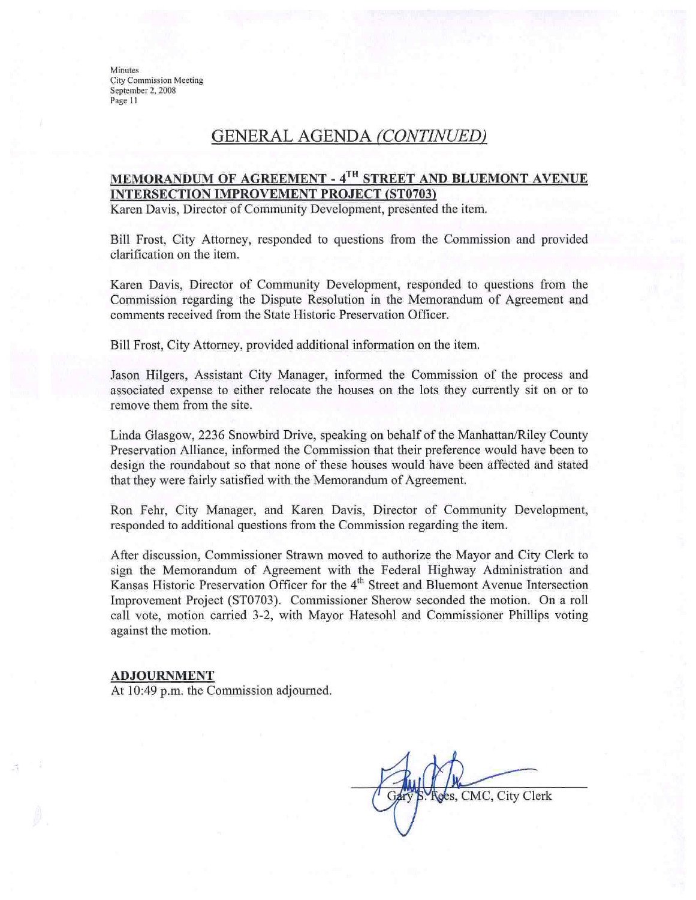Minutes **City Commission Meeting** September 2, 2008 Page 11

# **GENERAL AGENDA (CONTINUED)**

# MEMORANDUM OF AGREEMENT - 4TH STREET AND BLUEMONT AVENUE **INTERSECTION IMPROVEMENT PROJECT (ST0703)**

Karen Davis, Director of Community Development, presented the item.

Bill Frost, City Attorney, responded to questions from the Commission and provided clarification on the item.

Karen Davis, Director of Community Development, responded to questions from the Commission regarding the Dispute Resolution in the Memorandum of Agreement and comments received from the State Historic Preservation Officer.

Bill Frost, City Attorney, provided additional information on the item.

Jason Hilgers, Assistant City Manager, informed the Commission of the process and associated expense to either relocate the houses on the lots they currently sit on or to remove them from the site.

Linda Glasgow, 2236 Snowbird Drive, speaking on behalf of the Manhattan/Riley County Preservation Alliance, informed the Commission that their preference would have been to design the roundabout so that none of these houses would have been affected and stated that they were fairly satisfied with the Memorandum of Agreement.

Ron Fehr, City Manager, and Karen Davis, Director of Community Development, responded to additional questions from the Commission regarding the item.

After discussion, Commissioner Strawn moved to authorize the Mayor and City Clerk to sign the Memorandum of Agreement with the Federal Highway Administration and Kansas Historic Preservation Officer for the 4<sup>th</sup> Street and Bluemont Avenue Intersection Improvement Project (ST0703). Commissioner Sherow seconded the motion. On a roll call vote, motion carried 3-2, with Mayor Hatesohl and Commissioner Phillips voting against the motion.

#### **ADJOURNMENT**

At 10:49 p.m. the Commission adjourned.

ees, CMC, City Clerk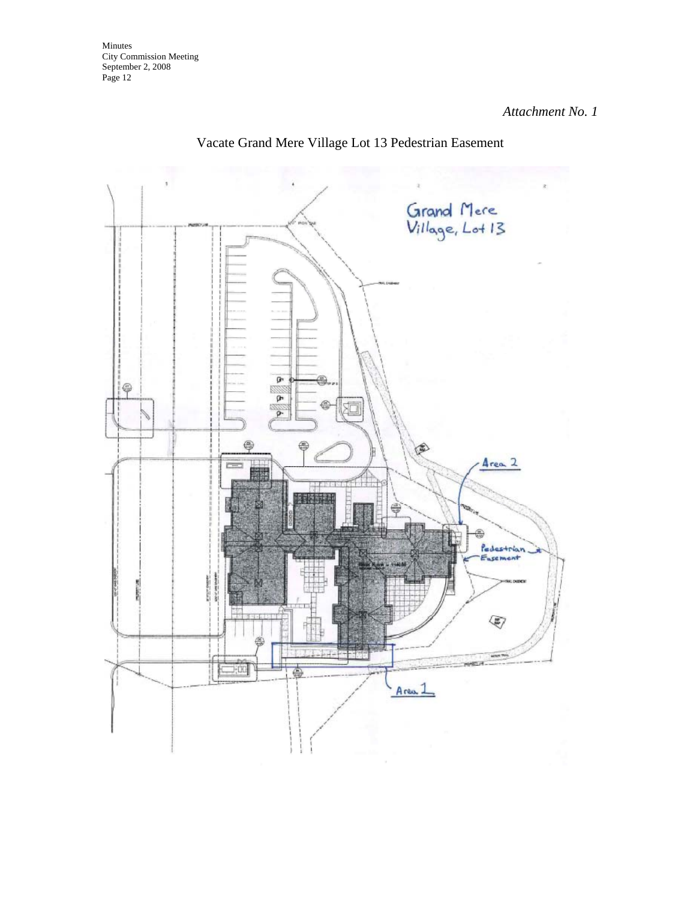Minutes City Commission Meeting September 2, 2008 Page 12

*Attachment No. 1* 



# Vacate Grand Mere Village Lot 13 Pedestrian Easement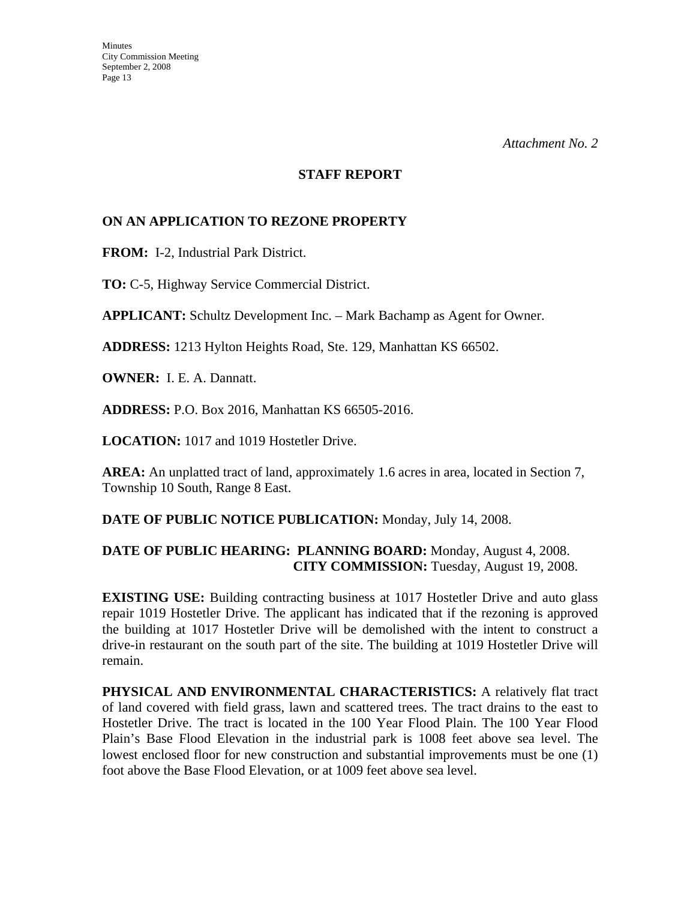# **STAFF REPORT**

# **ON AN APPLICATION TO REZONE PROPERTY**

**FROM:** I-2, Industrial Park District.

**TO:** C-5, Highway Service Commercial District.

**APPLICANT:** Schultz Development Inc. – Mark Bachamp as Agent for Owner.

**ADDRESS:** 1213 Hylton Heights Road, Ste. 129, Manhattan KS 66502.

**OWNER:** I. E. A. Dannatt.

**ADDRESS:** P.O. Box 2016, Manhattan KS 66505-2016.

**LOCATION:** 1017 and 1019 Hostetler Drive.

**AREA:** An unplatted tract of land, approximately 1.6 acres in area, located in Section 7, Township 10 South, Range 8 East.

**DATE OF PUBLIC NOTICE PUBLICATION:** Monday, July 14, 2008.

# **DATE OF PUBLIC HEARING: PLANNING BOARD:** Monday, August 4, 2008. **CITY COMMISSION:** Tuesday, August 19, 2008.

**EXISTING USE:** Building contracting business at 1017 Hostetler Drive and auto glass repair 1019 Hostetler Drive. The applicant has indicated that if the rezoning is approved the building at 1017 Hostetler Drive will be demolished with the intent to construct a drive-in restaurant on the south part of the site. The building at 1019 Hostetler Drive will remain.

**PHYSICAL AND ENVIRONMENTAL CHARACTERISTICS:** A relatively flat tract of land covered with field grass, lawn and scattered trees. The tract drains to the east to Hostetler Drive. The tract is located in the 100 Year Flood Plain. The 100 Year Flood Plain's Base Flood Elevation in the industrial park is 1008 feet above sea level. The lowest enclosed floor for new construction and substantial improvements must be one (1) foot above the Base Flood Elevation, or at 1009 feet above sea level.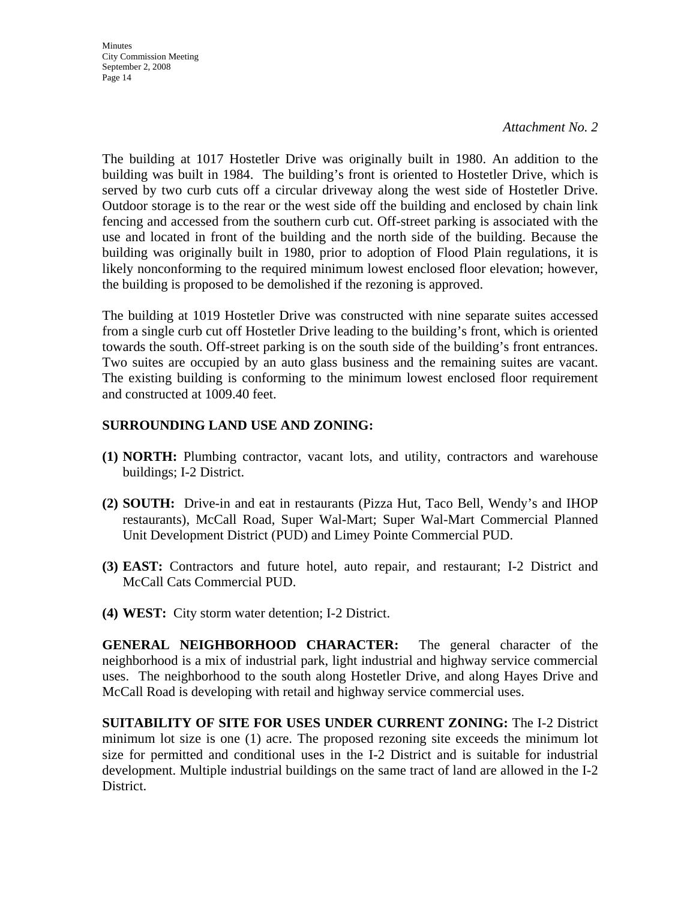**Minutes** City Commission Meeting September 2, 2008 Page 14

*Attachment No. 2*

The building at 1017 Hostetler Drive was originally built in 1980. An addition to the building was built in 1984. The building's front is oriented to Hostetler Drive, which is served by two curb cuts off a circular driveway along the west side of Hostetler Drive. Outdoor storage is to the rear or the west side off the building and enclosed by chain link fencing and accessed from the southern curb cut. Off-street parking is associated with the use and located in front of the building and the north side of the building. Because the building was originally built in 1980, prior to adoption of Flood Plain regulations, it is likely nonconforming to the required minimum lowest enclosed floor elevation; however, the building is proposed to be demolished if the rezoning is approved.

The building at 1019 Hostetler Drive was constructed with nine separate suites accessed from a single curb cut off Hostetler Drive leading to the building's front, which is oriented towards the south. Off-street parking is on the south side of the building's front entrances. Two suites are occupied by an auto glass business and the remaining suites are vacant. The existing building is conforming to the minimum lowest enclosed floor requirement and constructed at 1009.40 feet.

# **SURROUNDING LAND USE AND ZONING:**

- **(1) NORTH:** Plumbing contractor, vacant lots, and utility, contractors and warehouse buildings; I-2 District.
- **(2) SOUTH:** Drive-in and eat in restaurants (Pizza Hut, Taco Bell, Wendy's and IHOP restaurants), McCall Road, Super Wal-Mart; Super Wal-Mart Commercial Planned Unit Development District (PUD) and Limey Pointe Commercial PUD.
- **(3) EAST:** Contractors and future hotel, auto repair, and restaurant; I-2 District and McCall Cats Commercial PUD.
- **(4) WEST:** City storm water detention; I-2 District.

**GENERAL NEIGHBORHOOD CHARACTER:** The general character of the neighborhood is a mix of industrial park, light industrial and highway service commercial uses. The neighborhood to the south along Hostetler Drive, and along Hayes Drive and McCall Road is developing with retail and highway service commercial uses.

**SUITABILITY OF SITE FOR USES UNDER CURRENT ZONING:** The I-2 District minimum lot size is one (1) acre. The proposed rezoning site exceeds the minimum lot size for permitted and conditional uses in the I-2 District and is suitable for industrial development. Multiple industrial buildings on the same tract of land are allowed in the I-2 District.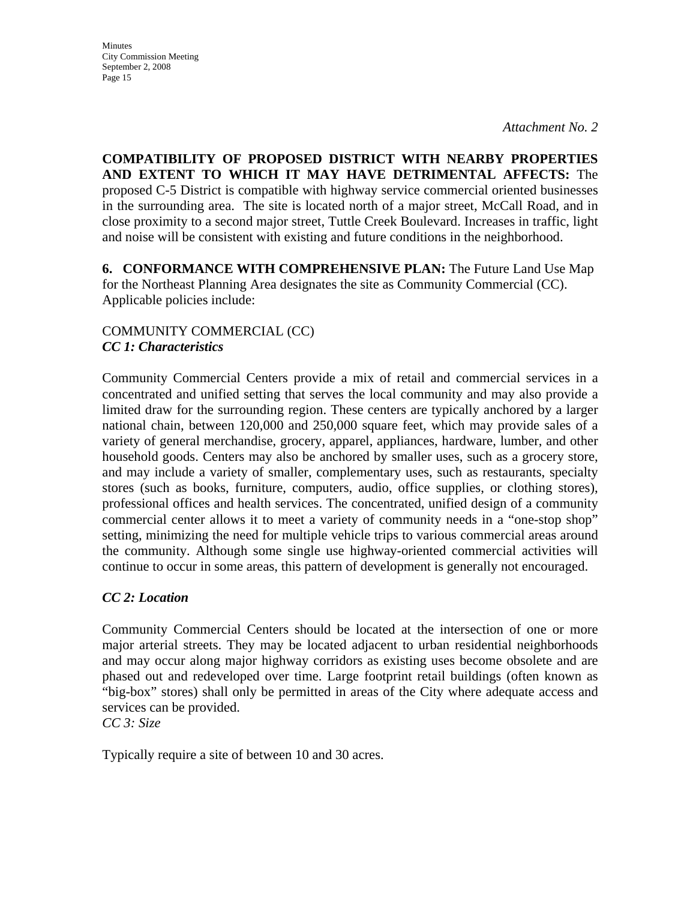**COMPATIBILITY OF PROPOSED DISTRICT WITH NEARBY PROPERTIES AND EXTENT TO WHICH IT MAY HAVE DETRIMENTAL AFFECTS:** The proposed C-5 District is compatible with highway service commercial oriented businesses in the surrounding area. The site is located north of a major street, McCall Road, and in close proximity to a second major street, Tuttle Creek Boulevard. Increases in traffic, light and noise will be consistent with existing and future conditions in the neighborhood.

**6. CONFORMANCE WITH COMPREHENSIVE PLAN:** The Future Land Use Map for the Northeast Planning Area designates the site as Community Commercial (CC). Applicable policies include:

# COMMUNITY COMMERCIAL (CC) *CC 1: Characteristics*

Community Commercial Centers provide a mix of retail and commercial services in a concentrated and unified setting that serves the local community and may also provide a limited draw for the surrounding region. These centers are typically anchored by a larger national chain, between 120,000 and 250,000 square feet, which may provide sales of a variety of general merchandise, grocery, apparel, appliances, hardware, lumber, and other household goods. Centers may also be anchored by smaller uses, such as a grocery store, and may include a variety of smaller, complementary uses, such as restaurants, specialty stores (such as books, furniture, computers, audio, office supplies, or clothing stores), professional offices and health services. The concentrated, unified design of a community commercial center allows it to meet a variety of community needs in a "one-stop shop" setting, minimizing the need for multiple vehicle trips to various commercial areas around the community. Although some single use highway-oriented commercial activities will continue to occur in some areas, this pattern of development is generally not encouraged.

# *CC 2: Location*

Community Commercial Centers should be located at the intersection of one or more major arterial streets. They may be located adjacent to urban residential neighborhoods and may occur along major highway corridors as existing uses become obsolete and are phased out and redeveloped over time. Large footprint retail buildings (often known as "big-box" stores) shall only be permitted in areas of the City where adequate access and services can be provided.

*CC 3: Size* 

Typically require a site of between 10 and 30 acres.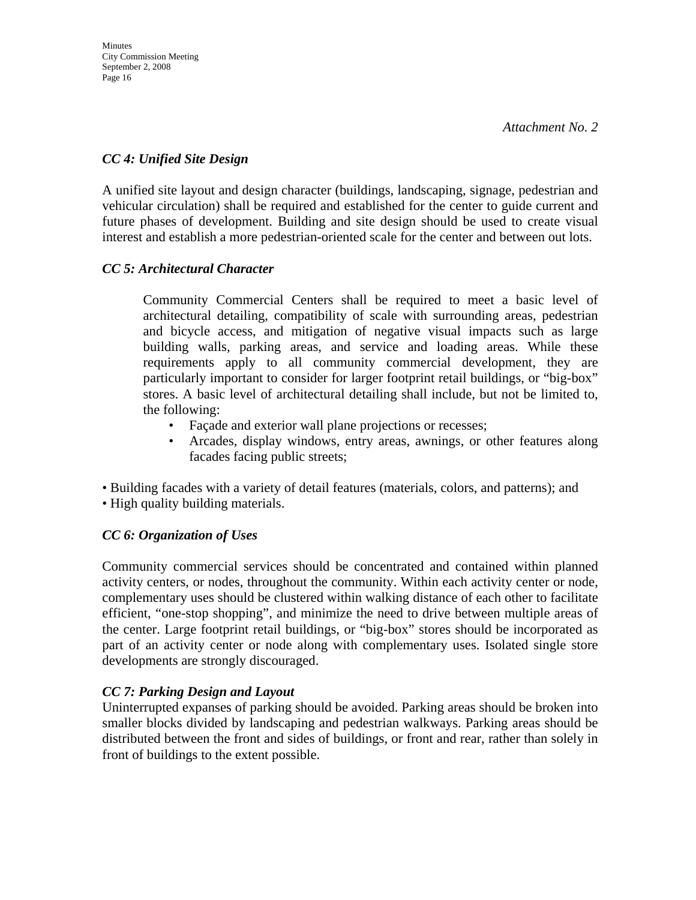# *CC 4: Unified Site Design*

A unified site layout and design character (buildings, landscaping, signage, pedestrian and vehicular circulation) shall be required and established for the center to guide current and future phases of development. Building and site design should be used to create visual interest and establish a more pedestrian-oriented scale for the center and between out lots.

# *CC 5: Architectural Character*

 Community Commercial Centers shall be required to meet a basic level of architectural detailing, compatibility of scale with surrounding areas, pedestrian and bicycle access, and mitigation of negative visual impacts such as large building walls, parking areas, and service and loading areas. While these requirements apply to all community commercial development, they are particularly important to consider for larger footprint retail buildings, or "big-box" stores. A basic level of architectural detailing shall include, but not be limited to, the following:

- Façade and exterior wall plane projections or recesses;
- Arcades, display windows, entry areas, awnings, or other features along facades facing public streets;

• Building facades with a variety of detail features (materials, colors, and patterns); and

• High quality building materials.

# *CC 6: Organization of Uses*

Community commercial services should be concentrated and contained within planned activity centers, or nodes, throughout the community. Within each activity center or node, complementary uses should be clustered within walking distance of each other to facilitate efficient, "one-stop shopping", and minimize the need to drive between multiple areas of the center. Large footprint retail buildings, or "big-box" stores should be incorporated as part of an activity center or node along with complementary uses. Isolated single store developments are strongly discouraged.

# *CC 7: Parking Design and Layout*

Uninterrupted expanses of parking should be avoided. Parking areas should be broken into smaller blocks divided by landscaping and pedestrian walkways. Parking areas should be distributed between the front and sides of buildings, or front and rear, rather than solely in front of buildings to the extent possible.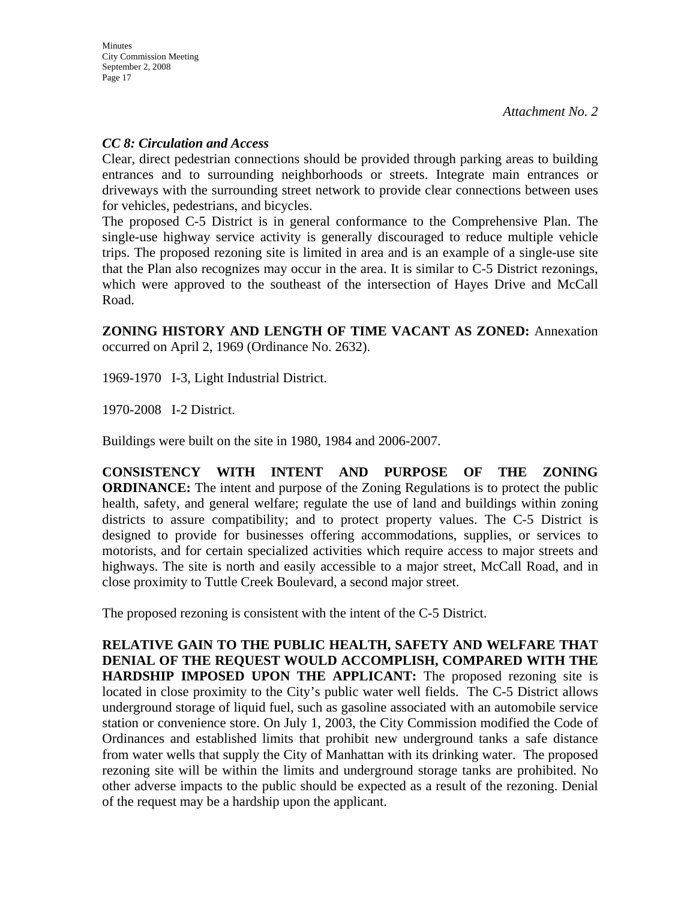### *CC 8: Circulation and Access*

Clear, direct pedestrian connections should be provided through parking areas to building entrances and to surrounding neighborhoods or streets. Integrate main entrances or driveways with the surrounding street network to provide clear connections between uses for vehicles, pedestrians, and bicycles.

The proposed C-5 District is in general conformance to the Comprehensive Plan. The single-use highway service activity is generally discouraged to reduce multiple vehicle trips. The proposed rezoning site is limited in area and is an example of a single-use site that the Plan also recognizes may occur in the area. It is similar to C-5 District rezonings, which were approved to the southeast of the intersection of Hayes Drive and McCall Road.

**ZONING HISTORY AND LENGTH OF TIME VACANT AS ZONED:** Annexation occurred on April 2, 1969 (Ordinance No. 2632).

1969-1970 I-3, Light Industrial District.

1970-2008 I-2 District.

Buildings were built on the site in 1980, 1984 and 2006-2007.

**CONSISTENCY WITH INTENT AND PURPOSE OF THE ZONING ORDINANCE:** The intent and purpose of the Zoning Regulations is to protect the public health, safety, and general welfare; regulate the use of land and buildings within zoning districts to assure compatibility; and to protect property values. The C-5 District is designed to provide for businesses offering accommodations, supplies, or services to motorists, and for certain specialized activities which require access to major streets and highways. The site is north and easily accessible to a major street, McCall Road, and in close proximity to Tuttle Creek Boulevard, a second major street.

The proposed rezoning is consistent with the intent of the C-5 District.

**RELATIVE GAIN TO THE PUBLIC HEALTH, SAFETY AND WELFARE THAT DENIAL OF THE REQUEST WOULD ACCOMPLISH, COMPARED WITH THE HARDSHIP IMPOSED UPON THE APPLICANT:** The proposed rezoning site is located in close proximity to the City's public water well fields. The C-5 District allows underground storage of liquid fuel, such as gasoline associated with an automobile service station or convenience store. On July 1, 2003, the City Commission modified the Code of Ordinances and established limits that prohibit new underground tanks a safe distance from water wells that supply the City of Manhattan with its drinking water. The proposed rezoning site will be within the limits and underground storage tanks are prohibited. No other adverse impacts to the public should be expected as a result of the rezoning. Denial of the request may be a hardship upon the applicant.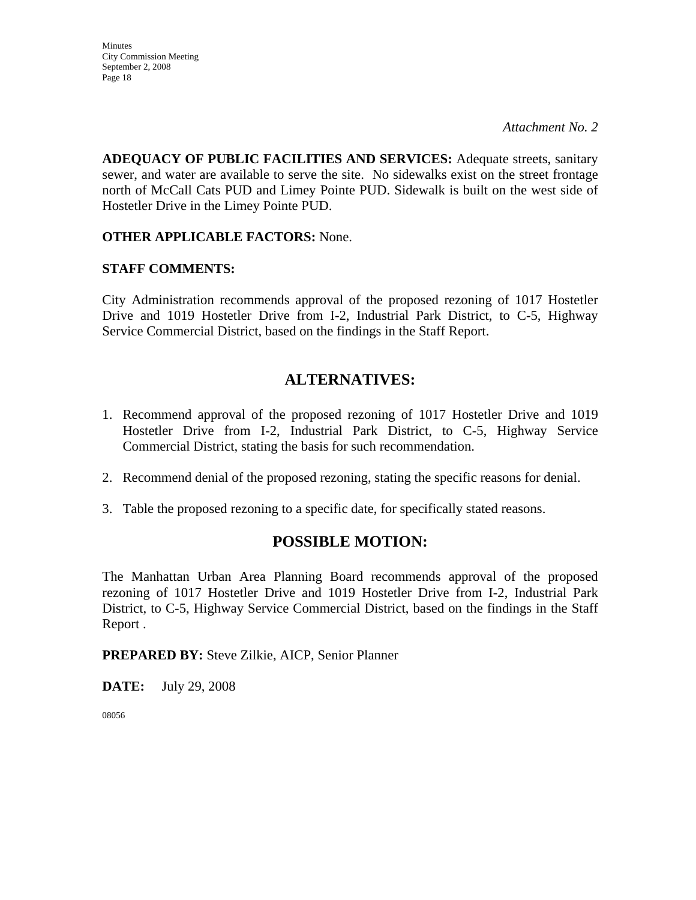**ADEQUACY OF PUBLIC FACILITIES AND SERVICES:** Adequate streets, sanitary sewer, and water are available to serve the site. No sidewalks exist on the street frontage north of McCall Cats PUD and Limey Pointe PUD. Sidewalk is built on the west side of Hostetler Drive in the Limey Pointe PUD.

# **OTHER APPLICABLE FACTORS:** None.

### **STAFF COMMENTS:**

City Administration recommends approval of the proposed rezoning of 1017 Hostetler Drive and 1019 Hostetler Drive from I-2, Industrial Park District, to C-5, Highway Service Commercial District, based on the findings in the Staff Report.

# **ALTERNATIVES:**

- 1. Recommend approval of the proposed rezoning of 1017 Hostetler Drive and 1019 Hostetler Drive from I-2, Industrial Park District, to C-5, Highway Service Commercial District, stating the basis for such recommendation.
- 2. Recommend denial of the proposed rezoning, stating the specific reasons for denial.
- 3. Table the proposed rezoning to a specific date, for specifically stated reasons.

# **POSSIBLE MOTION:**

The Manhattan Urban Area Planning Board recommends approval of the proposed rezoning of 1017 Hostetler Drive and 1019 Hostetler Drive from I-2, Industrial Park District, to C-5, Highway Service Commercial District, based on the findings in the Staff Report .

**PREPARED BY:** Steve Zilkie, AICP, Senior Planner

**DATE:** July 29, 2008

08056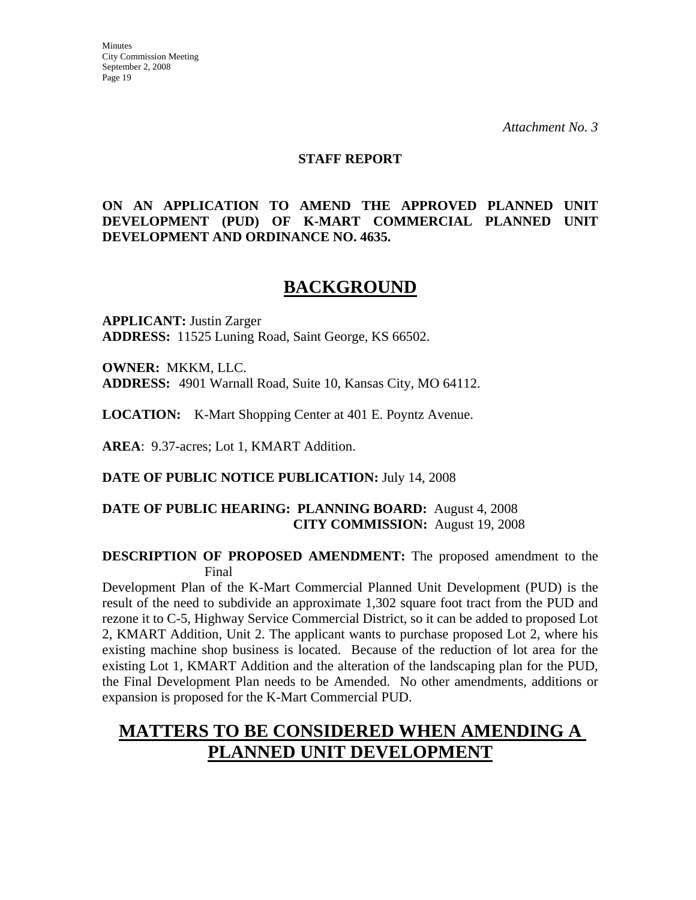**Minutes** City Commission Meeting September 2, 2008 Page 19

*Attachment No. 3*

#### **STAFF REPORT**

## **ON AN APPLICATION TO AMEND THE APPROVED PLANNED UNIT DEVELOPMENT (PUD) OF K-MART COMMERCIAL PLANNED UNIT DEVELOPMENT AND ORDINANCE NO. 4635.**

# **BACKGROUND**

**APPLICANT:** Justin Zarger **ADDRESS:** 11525 Luning Road, Saint George, KS 66502.

**OWNER:** MKKM, LLC. **ADDRESS:** 4901 Warnall Road, Suite 10, Kansas City, MO 64112.

**LOCATION:** K-Mart Shopping Center at 401 E. Poyntz Avenue.

**AREA**: 9.37-acres; Lot 1, KMART Addition.

**DATE OF PUBLIC NOTICE PUBLICATION:** July 14, 2008

## **DATE OF PUBLIC HEARING: PLANNING BOARD:** August 4, 2008 **CITY COMMISSION:** August 19, 2008

### **DESCRIPTION OF PROPOSED AMENDMENT:** The proposed amendment to the Final

Development Plan of the K-Mart Commercial Planned Unit Development (PUD) is the result of the need to subdivide an approximate 1,302 square foot tract from the PUD and rezone it to C-5, Highway Service Commercial District, so it can be added to proposed Lot 2, KMART Addition, Unit 2. The applicant wants to purchase proposed Lot 2, where his existing machine shop business is located. Because of the reduction of lot area for the existing Lot 1, KMART Addition and the alteration of the landscaping plan for the PUD, the Final Development Plan needs to be Amended. No other amendments, additions or expansion is proposed for the K-Mart Commercial PUD.

# **MATTERS TO BE CONSIDERED WHEN AMENDING A PLANNED UNIT DEVELOPMENT**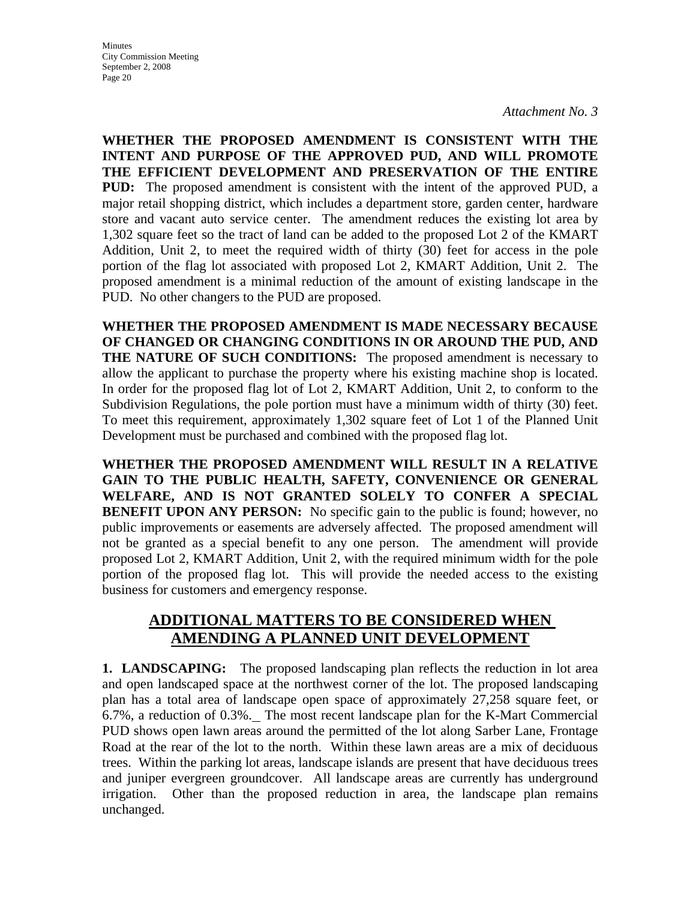**WHETHER THE PROPOSED AMENDMENT IS CONSISTENT WITH THE INTENT AND PURPOSE OF THE APPROVED PUD, AND WILL PROMOTE THE EFFICIENT DEVELOPMENT AND PRESERVATION OF THE ENTIRE PUD:** The proposed amendment is consistent with the intent of the approved PUD, a major retail shopping district, which includes a department store, garden center, hardware store and vacant auto service center. The amendment reduces the existing lot area by 1,302 square feet so the tract of land can be added to the proposed Lot 2 of the KMART Addition, Unit 2, to meet the required width of thirty (30) feet for access in the pole portion of the flag lot associated with proposed Lot 2, KMART Addition, Unit 2. The proposed amendment is a minimal reduction of the amount of existing landscape in the PUD. No other changers to the PUD are proposed.

**WHETHER THE PROPOSED AMENDMENT IS MADE NECESSARY BECAUSE OF CHANGED OR CHANGING CONDITIONS IN OR AROUND THE PUD, AND THE NATURE OF SUCH CONDITIONS:** The proposed amendment is necessary to allow the applicant to purchase the property where his existing machine shop is located. In order for the proposed flag lot of Lot 2, KMART Addition, Unit 2, to conform to the Subdivision Regulations, the pole portion must have a minimum width of thirty (30) feet. To meet this requirement, approximately 1,302 square feet of Lot 1 of the Planned Unit Development must be purchased and combined with the proposed flag lot.

**WHETHER THE PROPOSED AMENDMENT WILL RESULT IN A RELATIVE GAIN TO THE PUBLIC HEALTH, SAFETY, CONVENIENCE OR GENERAL WELFARE, AND IS NOT GRANTED SOLELY TO CONFER A SPECIAL BENEFIT UPON ANY PERSON:** No specific gain to the public is found; however, no public improvements or easements are adversely affected. The proposed amendment will not be granted as a special benefit to any one person. The amendment will provide proposed Lot 2, KMART Addition, Unit 2, with the required minimum width for the pole portion of the proposed flag lot. This will provide the needed access to the existing business for customers and emergency response.

# **ADDITIONAL MATTERS TO BE CONSIDERED WHEN AMENDING A PLANNED UNIT DEVELOPMENT**

**1. LANDSCAPING:** The proposed landscaping plan reflects the reduction in lot area and open landscaped space at the northwest corner of the lot. The proposed landscaping plan has a total area of landscape open space of approximately 27,258 square feet, or 6.7%, a reduction of 0.3%. The most recent landscape plan for the K-Mart Commercial PUD shows open lawn areas around the permitted of the lot along Sarber Lane, Frontage Road at the rear of the lot to the north. Within these lawn areas are a mix of deciduous trees. Within the parking lot areas, landscape islands are present that have deciduous trees and juniper evergreen groundcover. All landscape areas are currently has underground irrigation. Other than the proposed reduction in area, the landscape plan remains unchanged.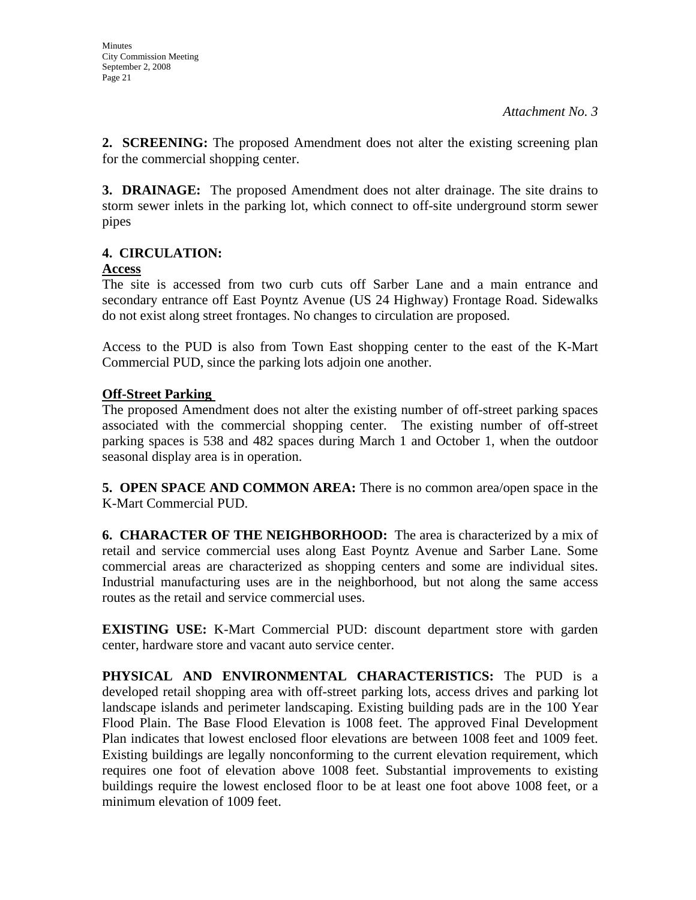**2. SCREENING:** The proposed Amendment does not alter the existing screening plan for the commercial shopping center.

**3. DRAINAGE:** The proposed Amendment does not alter drainage. The site drains to storm sewer inlets in the parking lot, which connect to off-site underground storm sewer pipes

# **4. CIRCULATION:**

# **Access**

The site is accessed from two curb cuts off Sarber Lane and a main entrance and secondary entrance off East Poyntz Avenue (US 24 Highway) Frontage Road. Sidewalks do not exist along street frontages. No changes to circulation are proposed.

Access to the PUD is also from Town East shopping center to the east of the K-Mart Commercial PUD, since the parking lots adjoin one another.

# **Off-Street Parking**

The proposed Amendment does not alter the existing number of off-street parking spaces associated with the commercial shopping center. The existing number of off-street parking spaces is 538 and 482 spaces during March 1 and October 1, when the outdoor seasonal display area is in operation.

**5. OPEN SPACE AND COMMON AREA:** There is no common area/open space in the K-Mart Commercial PUD.

**6. CHARACTER OF THE NEIGHBORHOOD:** The area is characterized by a mix of retail and service commercial uses along East Poyntz Avenue and Sarber Lane. Some commercial areas are characterized as shopping centers and some are individual sites. Industrial manufacturing uses are in the neighborhood, but not along the same access routes as the retail and service commercial uses.

**EXISTING USE:** K-Mart Commercial PUD: discount department store with garden center, hardware store and vacant auto service center.

**PHYSICAL AND ENVIRONMENTAL CHARACTERISTICS:** The PUD is a developed retail shopping area with off-street parking lots, access drives and parking lot landscape islands and perimeter landscaping. Existing building pads are in the 100 Year Flood Plain. The Base Flood Elevation is 1008 feet. The approved Final Development Plan indicates that lowest enclosed floor elevations are between 1008 feet and 1009 feet. Existing buildings are legally nonconforming to the current elevation requirement, which requires one foot of elevation above 1008 feet. Substantial improvements to existing buildings require the lowest enclosed floor to be at least one foot above 1008 feet, or a minimum elevation of 1009 feet.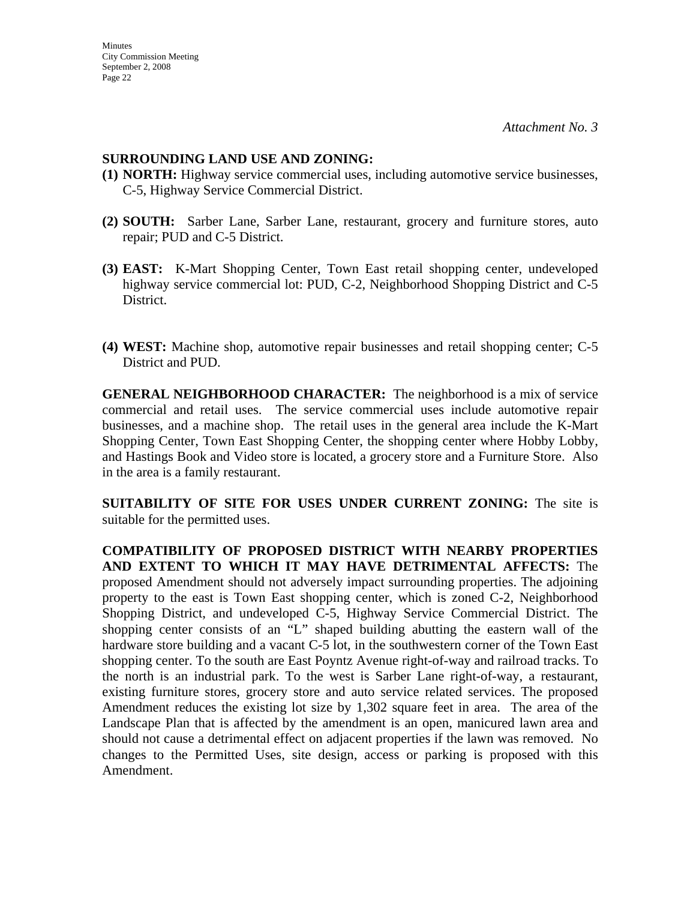#### **SURROUNDING LAND USE AND ZONING:**

- **(1) NORTH:** Highway service commercial uses, including automotive service businesses, C-5, Highway Service Commercial District.
- **(2) SOUTH:** Sarber Lane, Sarber Lane, restaurant, grocery and furniture stores, auto repair; PUD and C-5 District.
- **(3) EAST:** K-Mart Shopping Center, Town East retail shopping center, undeveloped highway service commercial lot: PUD, C-2, Neighborhood Shopping District and C-5 District.
- **(4) WEST:** Machine shop, automotive repair businesses and retail shopping center; C-5 District and PUD.

**GENERAL NEIGHBORHOOD CHARACTER:** The neighborhood is a mix of service commercial and retail uses. The service commercial uses include automotive repair businesses, and a machine shop. The retail uses in the general area include the K-Mart Shopping Center, Town East Shopping Center, the shopping center where Hobby Lobby, and Hastings Book and Video store is located, a grocery store and a Furniture Store. Also in the area is a family restaurant.

**SUITABILITY OF SITE FOR USES UNDER CURRENT ZONING:** The site is suitable for the permitted uses.

**COMPATIBILITY OF PROPOSED DISTRICT WITH NEARBY PROPERTIES AND EXTENT TO WHICH IT MAY HAVE DETRIMENTAL AFFECTS:** The proposed Amendment should not adversely impact surrounding properties. The adjoining property to the east is Town East shopping center, which is zoned C-2, Neighborhood Shopping District, and undeveloped C-5, Highway Service Commercial District. The shopping center consists of an "L" shaped building abutting the eastern wall of the hardware store building and a vacant C-5 lot, in the southwestern corner of the Town East shopping center. To the south are East Poyntz Avenue right-of-way and railroad tracks. To the north is an industrial park. To the west is Sarber Lane right-of-way, a restaurant, existing furniture stores, grocery store and auto service related services. The proposed Amendment reduces the existing lot size by 1,302 square feet in area. The area of the Landscape Plan that is affected by the amendment is an open, manicured lawn area and should not cause a detrimental effect on adjacent properties if the lawn was removed. No changes to the Permitted Uses, site design, access or parking is proposed with this Amendment.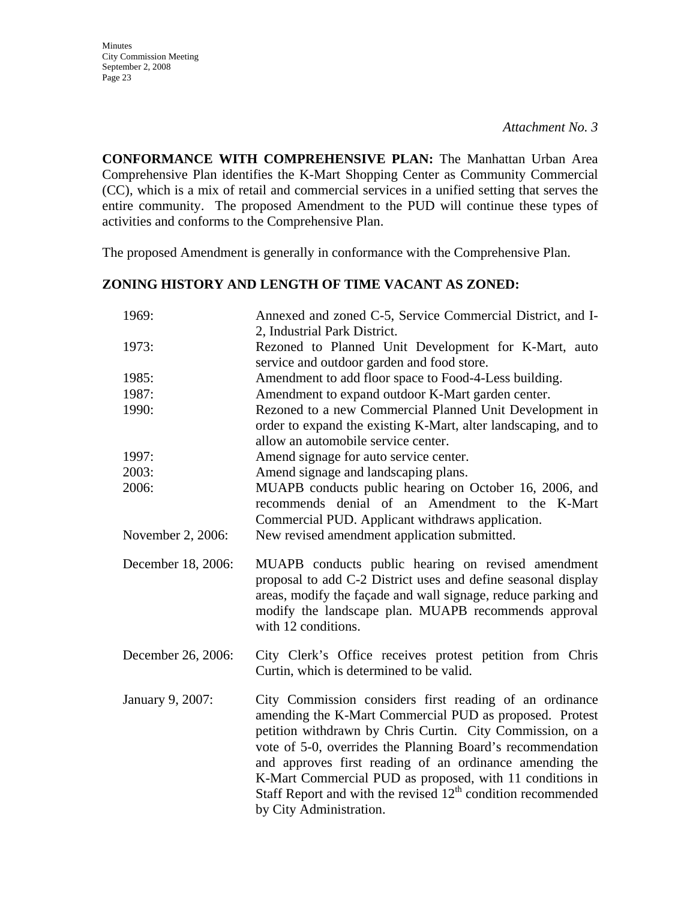Minutes City Commission Meeting September 2, 2008 Page 23

**CONFORMANCE WITH COMPREHENSIVE PLAN:** The Manhattan Urban Area Comprehensive Plan identifies the K-Mart Shopping Center as Community Commercial (CC), which is a mix of retail and commercial services in a unified setting that serves the entire community. The proposed Amendment to the PUD will continue these types of activities and conforms to the Comprehensive Plan.

The proposed Amendment is generally in conformance with the Comprehensive Plan.

# **ZONING HISTORY AND LENGTH OF TIME VACANT AS ZONED:**

| 1969:              | Annexed and zoned C-5, Service Commercial District, and I-<br>2, Industrial Park District.                                                                                                                                                                                                                                                                                                                                                                        |  |  |
|--------------------|-------------------------------------------------------------------------------------------------------------------------------------------------------------------------------------------------------------------------------------------------------------------------------------------------------------------------------------------------------------------------------------------------------------------------------------------------------------------|--|--|
| 1973:              | Rezoned to Planned Unit Development for K-Mart, auto<br>service and outdoor garden and food store.                                                                                                                                                                                                                                                                                                                                                                |  |  |
| 1985:              | Amendment to add floor space to Food-4-Less building.                                                                                                                                                                                                                                                                                                                                                                                                             |  |  |
| 1987:              | Amendment to expand outdoor K-Mart garden center.                                                                                                                                                                                                                                                                                                                                                                                                                 |  |  |
| 1990:              | Rezoned to a new Commercial Planned Unit Development in<br>order to expand the existing K-Mart, alter landscaping, and to<br>allow an automobile service center.                                                                                                                                                                                                                                                                                                  |  |  |
| 1997:              | Amend signage for auto service center.                                                                                                                                                                                                                                                                                                                                                                                                                            |  |  |
| 2003:              | Amend signage and landscaping plans.                                                                                                                                                                                                                                                                                                                                                                                                                              |  |  |
| 2006:              | MUAPB conducts public hearing on October 16, 2006, and<br>recommends denial of an Amendment to the K-Mart<br>Commercial PUD. Applicant withdraws application.                                                                                                                                                                                                                                                                                                     |  |  |
| November 2, 2006:  | New revised amendment application submitted.                                                                                                                                                                                                                                                                                                                                                                                                                      |  |  |
| December 18, 2006: | MUAPB conducts public hearing on revised amendment<br>proposal to add C-2 District uses and define seasonal display<br>areas, modify the façade and wall signage, reduce parking and<br>modify the landscape plan. MUAPB recommends approval<br>with 12 conditions.                                                                                                                                                                                               |  |  |
| December 26, 2006: | City Clerk's Office receives protest petition from Chris<br>Curtin, which is determined to be valid.                                                                                                                                                                                                                                                                                                                                                              |  |  |
| January 9, 2007:   | City Commission considers first reading of an ordinance<br>amending the K-Mart Commercial PUD as proposed. Protest<br>petition withdrawn by Chris Curtin. City Commission, on a<br>vote of 5-0, overrides the Planning Board's recommendation<br>and approves first reading of an ordinance amending the<br>K-Mart Commercial PUD as proposed, with 11 conditions in<br>Staff Report and with the revised $12th$ condition recommended<br>by City Administration. |  |  |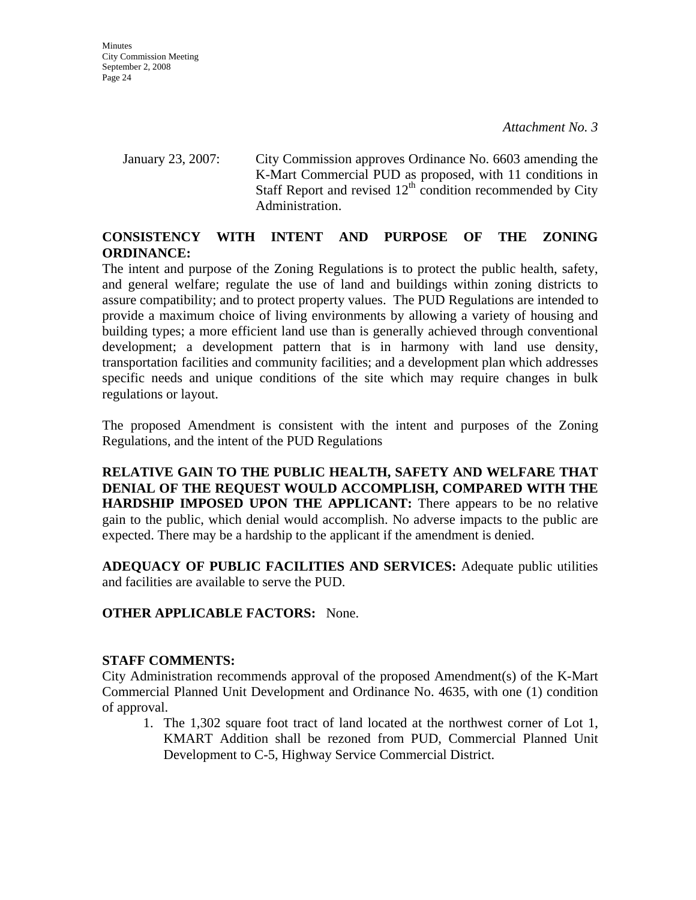January 23, 2007: City Commission approves Ordinance No. 6603 amending the K-Mart Commercial PUD as proposed, with 11 conditions in Staff Report and revised  $12<sup>th</sup>$  condition recommended by City Administration.

## **CONSISTENCY WITH INTENT AND PURPOSE OF THE ZONING ORDINANCE:**

The intent and purpose of the Zoning Regulations is to protect the public health, safety, and general welfare; regulate the use of land and buildings within zoning districts to assure compatibility; and to protect property values. The PUD Regulations are intended to provide a maximum choice of living environments by allowing a variety of housing and building types; a more efficient land use than is generally achieved through conventional development; a development pattern that is in harmony with land use density, transportation facilities and community facilities; and a development plan which addresses specific needs and unique conditions of the site which may require changes in bulk regulations or layout.

The proposed Amendment is consistent with the intent and purposes of the Zoning Regulations, and the intent of the PUD Regulations

**RELATIVE GAIN TO THE PUBLIC HEALTH, SAFETY AND WELFARE THAT DENIAL OF THE REQUEST WOULD ACCOMPLISH, COMPARED WITH THE HARDSHIP IMPOSED UPON THE APPLICANT:** There appears to be no relative gain to the public, which denial would accomplish. No adverse impacts to the public are expected. There may be a hardship to the applicant if the amendment is denied.

**ADEQUACY OF PUBLIC FACILITIES AND SERVICES:** Adequate public utilities and facilities are available to serve the PUD.

**OTHER APPLICABLE FACTORS:** None.

### **STAFF COMMENTS:**

City Administration recommends approval of the proposed Amendment(s) of the K-Mart Commercial Planned Unit Development and Ordinance No. 4635, with one (1) condition of approval.

1. The 1,302 square foot tract of land located at the northwest corner of Lot 1, KMART Addition shall be rezoned from PUD, Commercial Planned Unit Development to C-5, Highway Service Commercial District.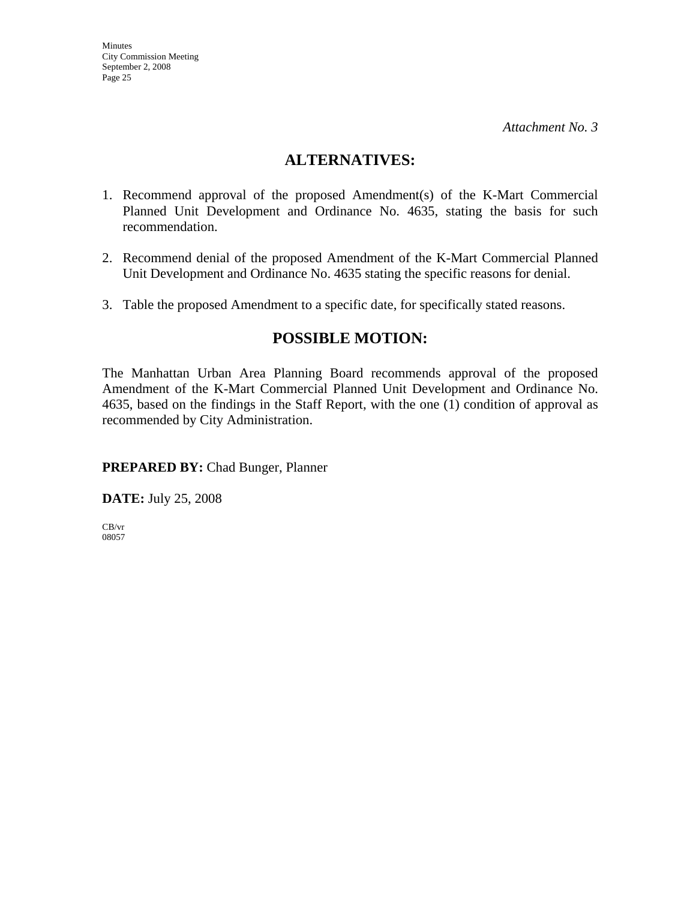# **ALTERNATIVES:**

- 1. Recommend approval of the proposed Amendment(s) of the K-Mart Commercial Planned Unit Development and Ordinance No. 4635, stating the basis for such recommendation.
- 2. Recommend denial of the proposed Amendment of the K-Mart Commercial Planned Unit Development and Ordinance No. 4635 stating the specific reasons for denial.
- 3. Table the proposed Amendment to a specific date, for specifically stated reasons.

# **POSSIBLE MOTION:**

The Manhattan Urban Area Planning Board recommends approval of the proposed Amendment of the K-Mart Commercial Planned Unit Development and Ordinance No. 4635, based on the findings in the Staff Report, with the one (1) condition of approval as recommended by City Administration.

**PREPARED BY:** Chad Bunger, Planner

**DATE:** July 25, 2008

CB/vr 08057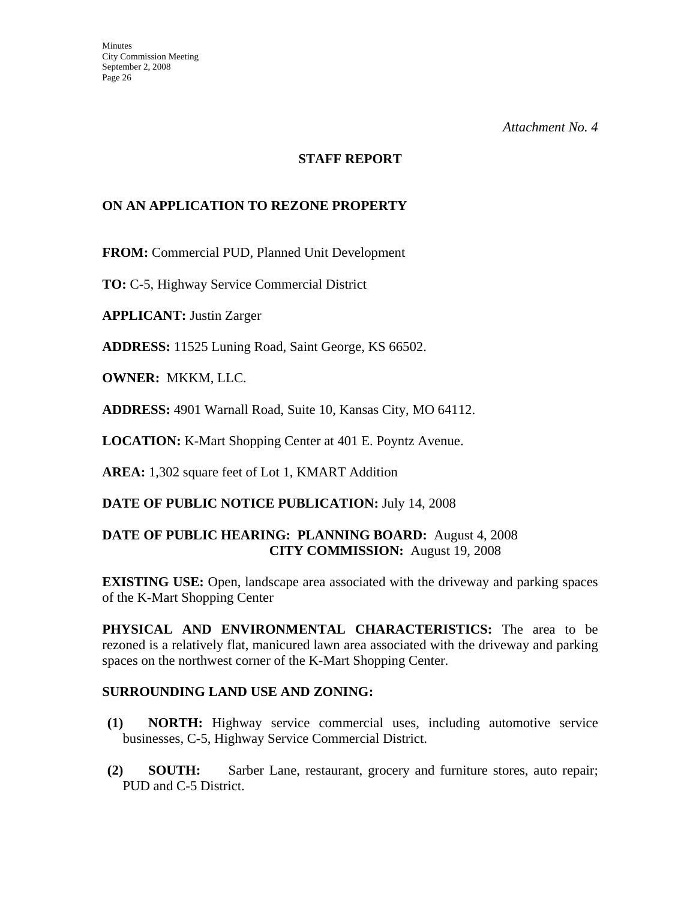## **STAFF REPORT**

# **ON AN APPLICATION TO REZONE PROPERTY**

**FROM:** Commercial PUD, Planned Unit Development

**TO:** C-5, Highway Service Commercial District

**APPLICANT:** Justin Zarger

**ADDRESS:** 11525 Luning Road, Saint George, KS 66502.

**OWNER:** MKKM, LLC.

**ADDRESS:** 4901 Warnall Road, Suite 10, Kansas City, MO 64112.

**LOCATION:** K-Mart Shopping Center at 401 E. Poyntz Avenue.

**AREA:** 1,302 square feet of Lot 1, KMART Addition

**DATE OF PUBLIC NOTICE PUBLICATION:** July 14, 2008

## **DATE OF PUBLIC HEARING: PLANNING BOARD:** August 4, 2008 **CITY COMMISSION:** August 19, 2008

**EXISTING USE:** Open, landscape area associated with the driveway and parking spaces of the K-Mart Shopping Center

**PHYSICAL AND ENVIRONMENTAL CHARACTERISTICS:** The area to be rezoned is a relatively flat, manicured lawn area associated with the driveway and parking spaces on the northwest corner of the K-Mart Shopping Center.

## **SURROUNDING LAND USE AND ZONING:**

- **(1) NORTH:** Highway service commercial uses, including automotive service businesses, C-5, Highway Service Commercial District.
- **(2) SOUTH:** Sarber Lane, restaurant, grocery and furniture stores, auto repair; PUD and C-5 District.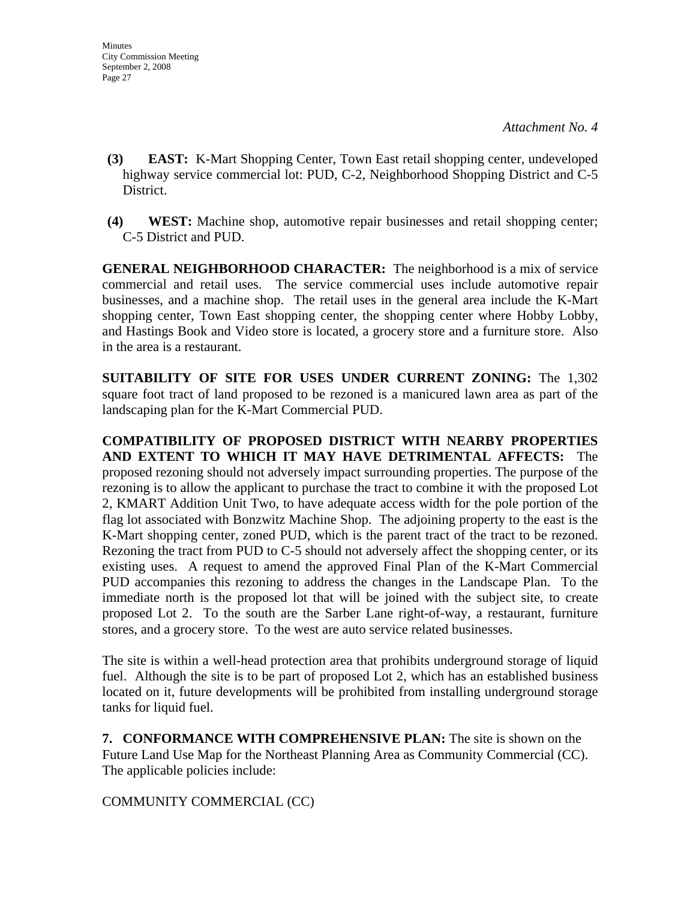- **(3) EAST:** K-Mart Shopping Center, Town East retail shopping center, undeveloped highway service commercial lot: PUD, C-2, Neighborhood Shopping District and C-5 District.
- **(4) WEST:** Machine shop, automotive repair businesses and retail shopping center; C-5 District and PUD.

**GENERAL NEIGHBORHOOD CHARACTER:** The neighborhood is a mix of service commercial and retail uses. The service commercial uses include automotive repair businesses, and a machine shop. The retail uses in the general area include the K-Mart shopping center, Town East shopping center, the shopping center where Hobby Lobby, and Hastings Book and Video store is located, a grocery store and a furniture store. Also in the area is a restaurant.

**SUITABILITY OF SITE FOR USES UNDER CURRENT ZONING:** The 1,302 square foot tract of land proposed to be rezoned is a manicured lawn area as part of the landscaping plan for the K-Mart Commercial PUD.

**COMPATIBILITY OF PROPOSED DISTRICT WITH NEARBY PROPERTIES AND EXTENT TO WHICH IT MAY HAVE DETRIMENTAL AFFECTS:** The proposed rezoning should not adversely impact surrounding properties. The purpose of the rezoning is to allow the applicant to purchase the tract to combine it with the proposed Lot 2, KMART Addition Unit Two, to have adequate access width for the pole portion of the flag lot associated with Bonzwitz Machine Shop. The adjoining property to the east is the K-Mart shopping center, zoned PUD, which is the parent tract of the tract to be rezoned. Rezoning the tract from PUD to C-5 should not adversely affect the shopping center, or its existing uses. A request to amend the approved Final Plan of the K-Mart Commercial PUD accompanies this rezoning to address the changes in the Landscape Plan. To the immediate north is the proposed lot that will be joined with the subject site, to create proposed Lot 2. To the south are the Sarber Lane right-of-way, a restaurant, furniture stores, and a grocery store. To the west are auto service related businesses.

The site is within a well-head protection area that prohibits underground storage of liquid fuel. Although the site is to be part of proposed Lot 2, which has an established business located on it, future developments will be prohibited from installing underground storage tanks for liquid fuel.

**7. CONFORMANCE WITH COMPREHENSIVE PLAN:** The site is shown on the Future Land Use Map for the Northeast Planning Area as Community Commercial (CC). The applicable policies include:

COMMUNITY COMMERCIAL (CC)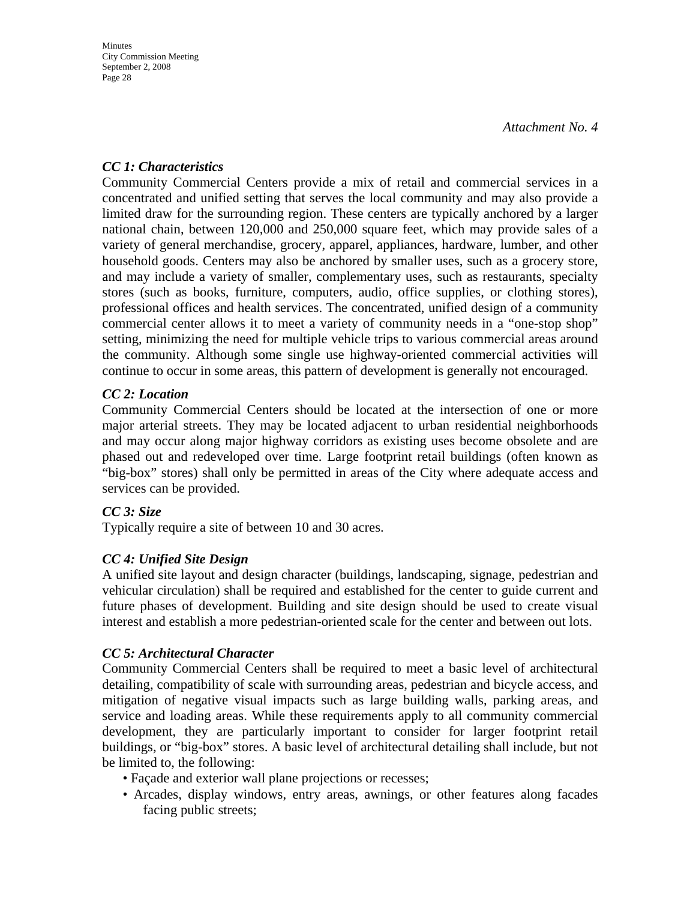# *CC 1: Characteristics*

Community Commercial Centers provide a mix of retail and commercial services in a concentrated and unified setting that serves the local community and may also provide a limited draw for the surrounding region. These centers are typically anchored by a larger national chain, between 120,000 and 250,000 square feet, which may provide sales of a variety of general merchandise, grocery, apparel, appliances, hardware, lumber, and other household goods. Centers may also be anchored by smaller uses, such as a grocery store, and may include a variety of smaller, complementary uses, such as restaurants, specialty stores (such as books, furniture, computers, audio, office supplies, or clothing stores), professional offices and health services. The concentrated, unified design of a community commercial center allows it to meet a variety of community needs in a "one-stop shop" setting, minimizing the need for multiple vehicle trips to various commercial areas around the community. Although some single use highway-oriented commercial activities will continue to occur in some areas, this pattern of development is generally not encouraged.

# *CC 2: Location*

Community Commercial Centers should be located at the intersection of one or more major arterial streets. They may be located adjacent to urban residential neighborhoods and may occur along major highway corridors as existing uses become obsolete and are phased out and redeveloped over time. Large footprint retail buildings (often known as "big-box" stores) shall only be permitted in areas of the City where adequate access and services can be provided.

# *CC 3: Size*

Typically require a site of between 10 and 30 acres.

# *CC 4: Unified Site Design*

A unified site layout and design character (buildings, landscaping, signage, pedestrian and vehicular circulation) shall be required and established for the center to guide current and future phases of development. Building and site design should be used to create visual interest and establish a more pedestrian-oriented scale for the center and between out lots.

## *CC 5: Architectural Character*

Community Commercial Centers shall be required to meet a basic level of architectural detailing, compatibility of scale with surrounding areas, pedestrian and bicycle access, and mitigation of negative visual impacts such as large building walls, parking areas, and service and loading areas. While these requirements apply to all community commercial development, they are particularly important to consider for larger footprint retail buildings, or "big-box" stores. A basic level of architectural detailing shall include, but not be limited to, the following:

- Façade and exterior wall plane projections or recesses;
- Arcades, display windows, entry areas, awnings, or other features along facades facing public streets;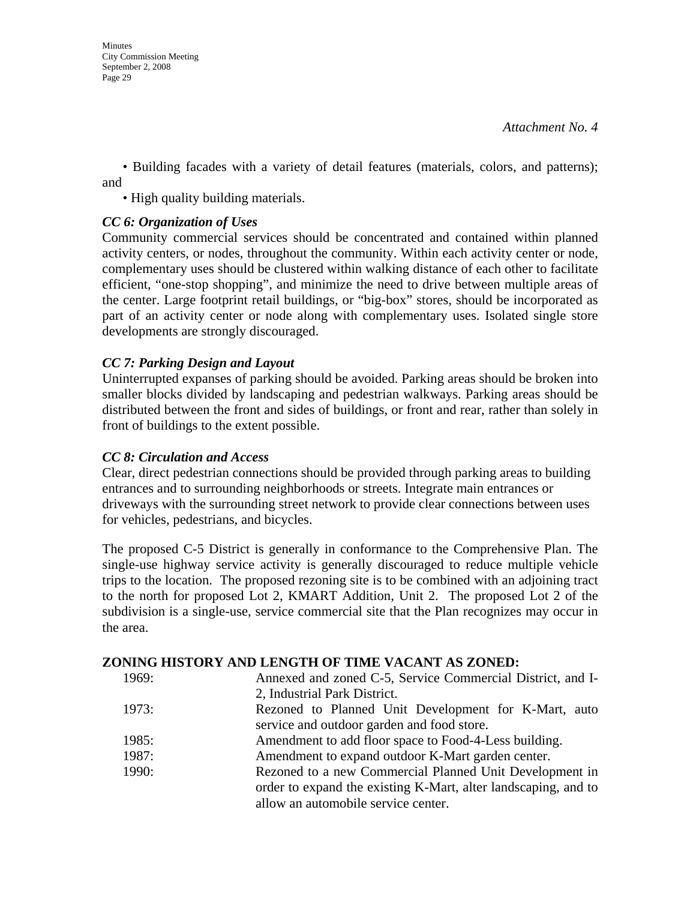• Building facades with a variety of detail features (materials, colors, and patterns); and

• High quality building materials.

# *CC 6: Organization of Uses*

Community commercial services should be concentrated and contained within planned activity centers, or nodes, throughout the community. Within each activity center or node, complementary uses should be clustered within walking distance of each other to facilitate efficient, "one-stop shopping", and minimize the need to drive between multiple areas of the center. Large footprint retail buildings, or "big-box" stores, should be incorporated as part of an activity center or node along with complementary uses. Isolated single store developments are strongly discouraged.

## *CC 7: Parking Design and Layout*

Uninterrupted expanses of parking should be avoided. Parking areas should be broken into smaller blocks divided by landscaping and pedestrian walkways. Parking areas should be distributed between the front and sides of buildings, or front and rear, rather than solely in front of buildings to the extent possible.

## *CC 8: Circulation and Access*

Clear, direct pedestrian connections should be provided through parking areas to building entrances and to surrounding neighborhoods or streets. Integrate main entrances or driveways with the surrounding street network to provide clear connections between uses for vehicles, pedestrians, and bicycles.

The proposed C-5 District is generally in conformance to the Comprehensive Plan. The single-use highway service activity is generally discouraged to reduce multiple vehicle trips to the location. The proposed rezoning site is to be combined with an adjoining tract to the north for proposed Lot 2, KMART Addition, Unit 2. The proposed Lot 2 of the subdivision is a single-use, service commercial site that the Plan recognizes may occur in the area.

## **ZONING HISTORY AND LENGTH OF TIME VACANT AS ZONED:**

| 1969: | Annexed and zoned C-5, Service Commercial District, and I-     |
|-------|----------------------------------------------------------------|
|       | 2, Industrial Park District.                                   |
| 1973: | Rezoned to Planned Unit Development for K-Mart, auto           |
|       | service and outdoor garden and food store.                     |
| 1985: | Amendment to add floor space to Food-4-Less building.          |
| 1987: | Amendment to expand outdoor K-Mart garden center.              |
| 1990: | Rezoned to a new Commercial Planned Unit Development in        |
|       | order to expand the existing K-Mart, alter landscaping, and to |
|       | allow an automobile service center.                            |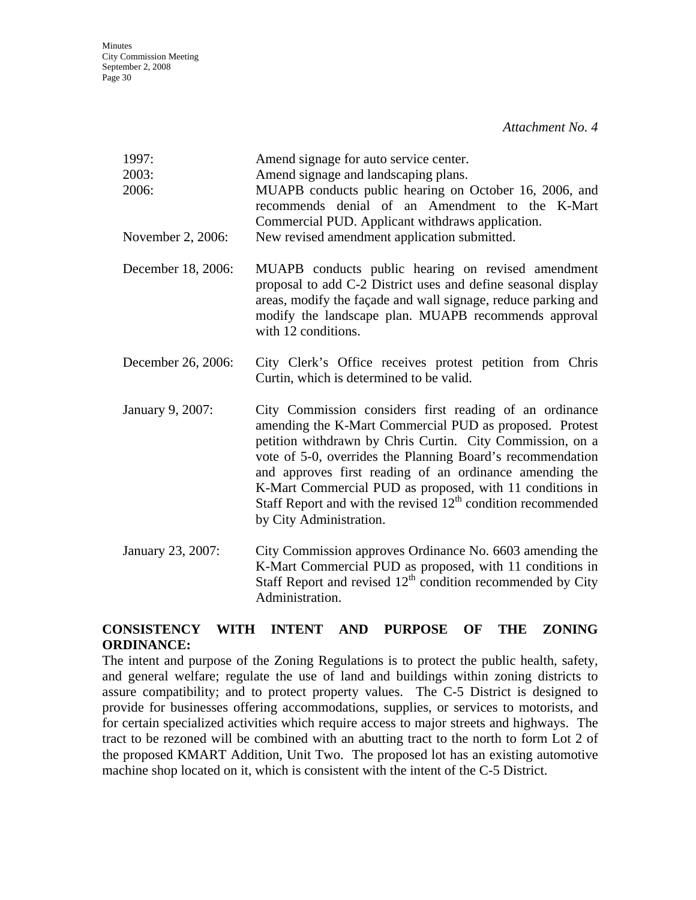| 1997:<br>2003:<br>2006: | Amend signage for auto service center.<br>Amend signage and landscaping plans.<br>MUAPB conducts public hearing on October 16, 2006, and<br>recommends denial of an Amendment to the K-Mart<br>Commercial PUD. Applicant withdraws application.                                                                                                                                                                                                                   |
|-------------------------|-------------------------------------------------------------------------------------------------------------------------------------------------------------------------------------------------------------------------------------------------------------------------------------------------------------------------------------------------------------------------------------------------------------------------------------------------------------------|
| November 2, 2006:       | New revised amendment application submitted.                                                                                                                                                                                                                                                                                                                                                                                                                      |
| December 18, 2006:      | MUAPB conducts public hearing on revised amendment<br>proposal to add C-2 District uses and define seasonal display<br>areas, modify the façade and wall signage, reduce parking and<br>modify the landscape plan. MUAPB recommends approval<br>with 12 conditions.                                                                                                                                                                                               |
| December 26, 2006:      | City Clerk's Office receives protest petition from Chris<br>Curtin, which is determined to be valid.                                                                                                                                                                                                                                                                                                                                                              |
| January 9, 2007:        | City Commission considers first reading of an ordinance<br>amending the K-Mart Commercial PUD as proposed. Protest<br>petition withdrawn by Chris Curtin. City Commission, on a<br>vote of 5-0, overrides the Planning Board's recommendation<br>and approves first reading of an ordinance amending the<br>K-Mart Commercial PUD as proposed, with 11 conditions in<br>Staff Report and with the revised $12th$ condition recommended<br>by City Administration. |
| January 23, 2007:       | City Commission approves Ordinance No. 6603 amending the<br>K-Mart Commercial PUD as proposed, with 11 conditions in<br>Staff Report and revised $12th$ condition recommended by City                                                                                                                                                                                                                                                                             |

## **CONSISTENCY WITH INTENT AND PURPOSE OF THE ZONING ORDINANCE:**

Administration.

The intent and purpose of the Zoning Regulations is to protect the public health, safety, and general welfare; regulate the use of land and buildings within zoning districts to assure compatibility; and to protect property values. The C-5 District is designed to provide for businesses offering accommodations, supplies, or services to motorists, and for certain specialized activities which require access to major streets and highways. The tract to be rezoned will be combined with an abutting tract to the north to form Lot 2 of the proposed KMART Addition, Unit Two. The proposed lot has an existing automotive machine shop located on it, which is consistent with the intent of the C-5 District.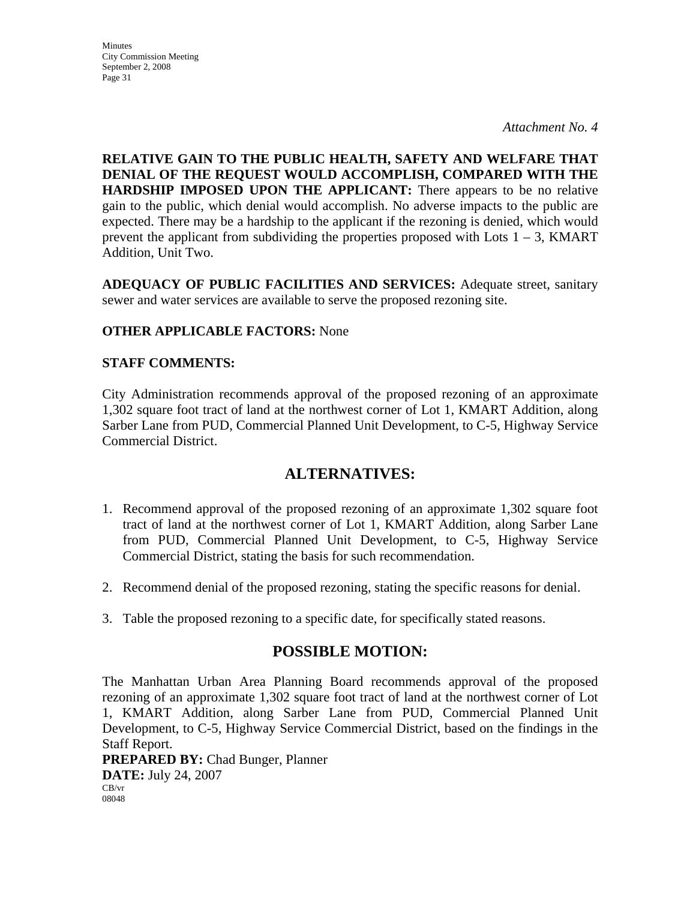**RELATIVE GAIN TO THE PUBLIC HEALTH, SAFETY AND WELFARE THAT DENIAL OF THE REQUEST WOULD ACCOMPLISH, COMPARED WITH THE HARDSHIP IMPOSED UPON THE APPLICANT:** There appears to be no relative gain to the public, which denial would accomplish. No adverse impacts to the public are expected. There may be a hardship to the applicant if the rezoning is denied, which would prevent the applicant from subdividing the properties proposed with Lots  $1 - 3$ , KMART Addition, Unit Two.

**ADEQUACY OF PUBLIC FACILITIES AND SERVICES:** Adequate street, sanitary sewer and water services are available to serve the proposed rezoning site.

# **OTHER APPLICABLE FACTORS:** None

### **STAFF COMMENTS:**

City Administration recommends approval of the proposed rezoning of an approximate 1,302 square foot tract of land at the northwest corner of Lot 1, KMART Addition, along Sarber Lane from PUD, Commercial Planned Unit Development, to C-5, Highway Service Commercial District.

# **ALTERNATIVES:**

- 1. Recommend approval of the proposed rezoning of an approximate 1,302 square foot tract of land at the northwest corner of Lot 1, KMART Addition, along Sarber Lane from PUD, Commercial Planned Unit Development, to C-5, Highway Service Commercial District, stating the basis for such recommendation.
- 2. Recommend denial of the proposed rezoning, stating the specific reasons for denial.
- 3. Table the proposed rezoning to a specific date, for specifically stated reasons.

# **POSSIBLE MOTION:**

The Manhattan Urban Area Planning Board recommends approval of the proposed rezoning of an approximate 1,302 square foot tract of land at the northwest corner of Lot 1, KMART Addition, along Sarber Lane from PUD, Commercial Planned Unit Development, to C-5, Highway Service Commercial District, based on the findings in the Staff Report.

**PREPARED BY:** Chad Bunger, Planner **DATE:** July 24, 2007 CB/vr 08048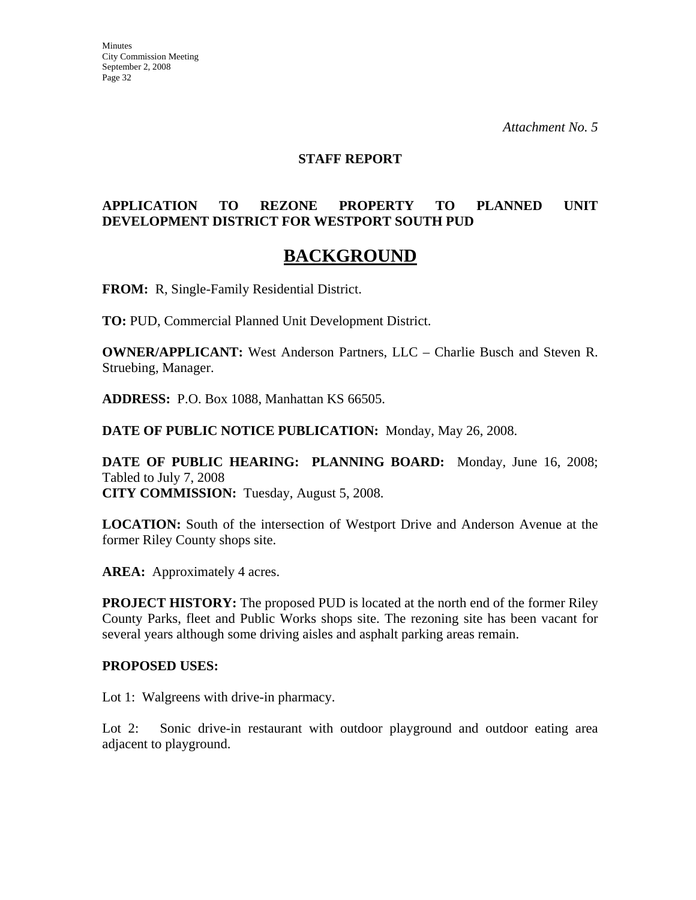#### **STAFF REPORT**

# **APPLICATION TO REZONE PROPERTY TO PLANNED UNIT DEVELOPMENT DISTRICT FOR WESTPORT SOUTH PUD**

# **BACKGROUND**

**FROM:** R, Single-Family Residential District.

**TO:** PUD, Commercial Planned Unit Development District.

**OWNER/APPLICANT:** West Anderson Partners, LLC – Charlie Busch and Steven R. Struebing, Manager.

**ADDRESS:** P.O. Box 1088, Manhattan KS 66505.

**DATE OF PUBLIC NOTICE PUBLICATION:** Monday, May 26, 2008.

**DATE OF PUBLIC HEARING: PLANNING BOARD:** Monday, June 16, 2008; Tabled to July 7, 2008 **CITY COMMISSION:** Tuesday, August 5, 2008.

**LOCATION:** South of the intersection of Westport Drive and Anderson Avenue at the former Riley County shops site.

AREA: Approximately 4 acres.

**PROJECT HISTORY:** The proposed PUD is located at the north end of the former Riley County Parks, fleet and Public Works shops site. The rezoning site has been vacant for several years although some driving aisles and asphalt parking areas remain.

### **PROPOSED USES:**

Lot 1: Walgreens with drive-in pharmacy.

Lot 2: Sonic drive-in restaurant with outdoor playground and outdoor eating area adjacent to playground.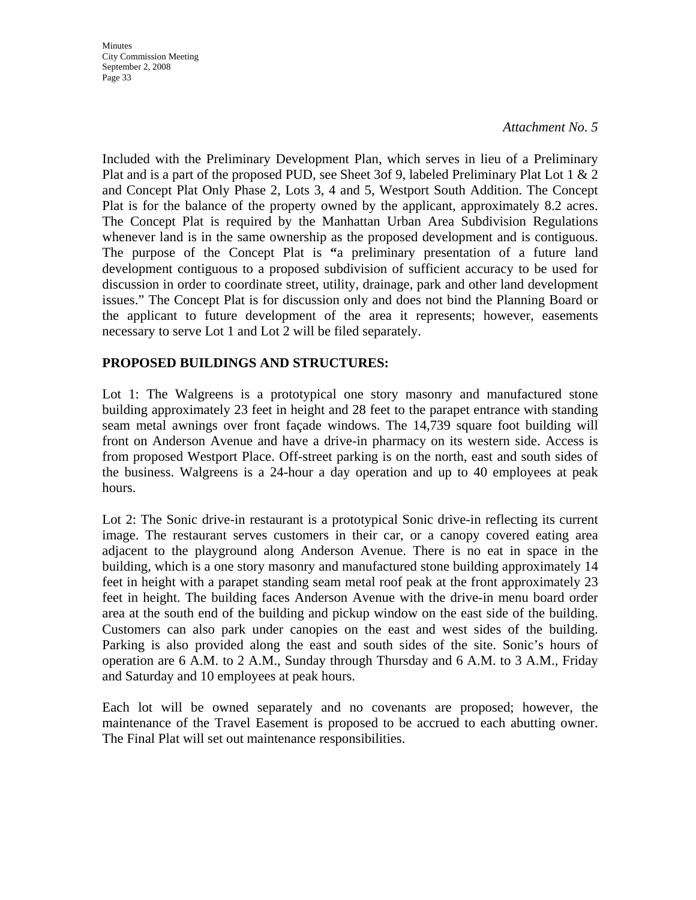Minutes City Commission Meeting September 2, 2008 Page 33

#### *Attachment No. 5*

Included with the Preliminary Development Plan, which serves in lieu of a Preliminary Plat and is a part of the proposed PUD, see Sheet 3of 9, labeled Preliminary Plat Lot 1 & 2 and Concept Plat Only Phase 2, Lots 3, 4 and 5, Westport South Addition. The Concept Plat is for the balance of the property owned by the applicant, approximately 8.2 acres. The Concept Plat is required by the Manhattan Urban Area Subdivision Regulations whenever land is in the same ownership as the proposed development and is contiguous. The purpose of the Concept Plat is **"**a preliminary presentation of a future land development contiguous to a proposed subdivision of sufficient accuracy to be used for discussion in order to coordinate street, utility, drainage, park and other land development issues." The Concept Plat is for discussion only and does not bind the Planning Board or the applicant to future development of the area it represents; however, easements necessary to serve Lot 1 and Lot 2 will be filed separately.

### **PROPOSED BUILDINGS AND STRUCTURES:**

Lot 1: The Walgreens is a prototypical one story masonry and manufactured stone building approximately 23 feet in height and 28 feet to the parapet entrance with standing seam metal awnings over front façade windows. The 14,739 square foot building will front on Anderson Avenue and have a drive-in pharmacy on its western side. Access is from proposed Westport Place. Off-street parking is on the north, east and south sides of the business. Walgreens is a 24-hour a day operation and up to 40 employees at peak hours.

Lot 2: The Sonic drive-in restaurant is a prototypical Sonic drive-in reflecting its current image. The restaurant serves customers in their car, or a canopy covered eating area adjacent to the playground along Anderson Avenue. There is no eat in space in the building, which is a one story masonry and manufactured stone building approximately 14 feet in height with a parapet standing seam metal roof peak at the front approximately 23 feet in height. The building faces Anderson Avenue with the drive-in menu board order area at the south end of the building and pickup window on the east side of the building. Customers can also park under canopies on the east and west sides of the building. Parking is also provided along the east and south sides of the site. Sonic's hours of operation are 6 A.M. to 2 A.M., Sunday through Thursday and 6 A.M. to 3 A.M., Friday and Saturday and 10 employees at peak hours.

Each lot will be owned separately and no covenants are proposed; however, the maintenance of the Travel Easement is proposed to be accrued to each abutting owner. The Final Plat will set out maintenance responsibilities.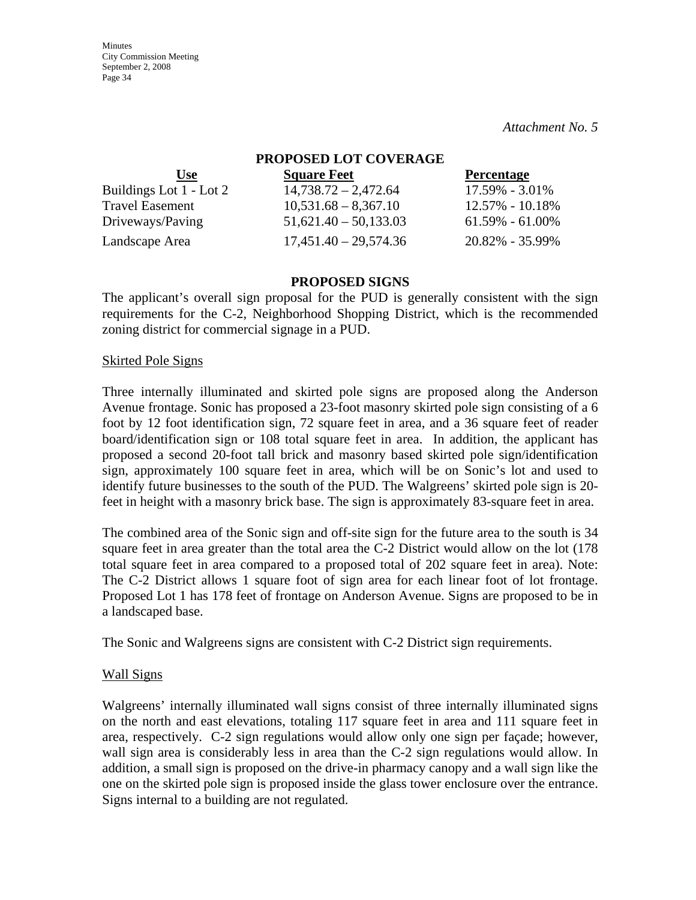**Minutes** City Commission Meeting September 2, 2008 Page 34

*Attachment No. 5*

| PROPOSED LOT COVERAGE   |                         |                     |  |  |
|-------------------------|-------------------------|---------------------|--|--|
| <b>Use</b>              | <b>Square Feet</b>      | <b>Percentage</b>   |  |  |
| Buildings Lot 1 - Lot 2 | $14,738.72 - 2,472.64$  | 17.59% - 3.01%      |  |  |
| <b>Travel Easement</b>  | $10,531.68 - 8,367.10$  | 12.57% - 10.18%     |  |  |
| Driveways/Paving        | $51,621.40 - 50,133.03$ | $61.59\% - 61.00\%$ |  |  |
| Landscape Area          | $17,451.40 - 29,574.36$ | 20.82% - 35.99%     |  |  |

### **PROPOSED SIGNS**

The applicant's overall sign proposal for the PUD is generally consistent with the sign requirements for the C-2, Neighborhood Shopping District, which is the recommended zoning district for commercial signage in a PUD.

#### Skirted Pole Signs

Three internally illuminated and skirted pole signs are proposed along the Anderson Avenue frontage. Sonic has proposed a 23-foot masonry skirted pole sign consisting of a 6 foot by 12 foot identification sign, 72 square feet in area, and a 36 square feet of reader board/identification sign or 108 total square feet in area. In addition, the applicant has proposed a second 20-foot tall brick and masonry based skirted pole sign/identification sign, approximately 100 square feet in area, which will be on Sonic's lot and used to identify future businesses to the south of the PUD. The Walgreens' skirted pole sign is 20 feet in height with a masonry brick base. The sign is approximately 83-square feet in area.

The combined area of the Sonic sign and off-site sign for the future area to the south is 34 square feet in area greater than the total area the C-2 District would allow on the lot (178) total square feet in area compared to a proposed total of 202 square feet in area). Note: The C-2 District allows 1 square foot of sign area for each linear foot of lot frontage. Proposed Lot 1 has 178 feet of frontage on Anderson Avenue. Signs are proposed to be in a landscaped base.

The Sonic and Walgreens signs are consistent with C-2 District sign requirements.

#### Wall Signs

Walgreens' internally illuminated wall signs consist of three internally illuminated signs on the north and east elevations, totaling 117 square feet in area and 111 square feet in area, respectively. C-2 sign regulations would allow only one sign per façade; however, wall sign area is considerably less in area than the C-2 sign regulations would allow. In addition, a small sign is proposed on the drive-in pharmacy canopy and a wall sign like the one on the skirted pole sign is proposed inside the glass tower enclosure over the entrance. Signs internal to a building are not regulated.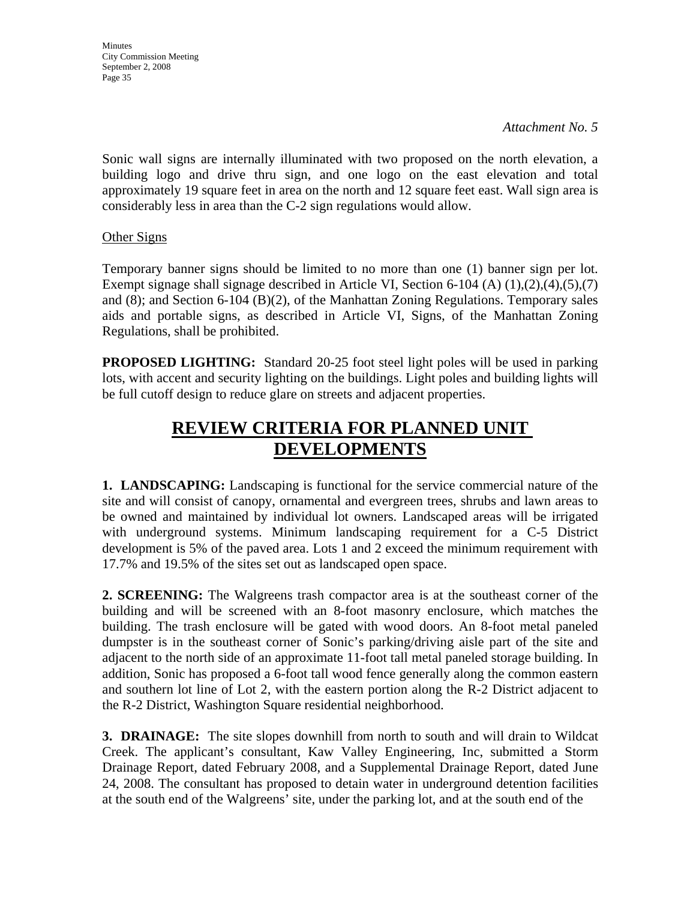**Minutes** City Commission Meeting September 2, 2008 Page 35

*Attachment No. 5*

Sonic wall signs are internally illuminated with two proposed on the north elevation, a building logo and drive thru sign, and one logo on the east elevation and total approximately 19 square feet in area on the north and 12 square feet east. Wall sign area is considerably less in area than the C-2 sign regulations would allow.

### **Other Signs**

Temporary banner signs should be limited to no more than one (1) banner sign per lot. Exempt signage shall signage described in Article VI, Section 6-104 (A)  $(1),(2),(4),(5),(7)$ and (8); and Section 6-104 (B)(2), of the Manhattan Zoning Regulations. Temporary sales aids and portable signs, as described in Article VI, Signs, of the Manhattan Zoning Regulations, shall be prohibited.

**PROPOSED LIGHTING:** Standard 20-25 foot steel light poles will be used in parking lots, with accent and security lighting on the buildings. Light poles and building lights will be full cutoff design to reduce glare on streets and adjacent properties.

# **REVIEW CRITERIA FOR PLANNED UNIT DEVELOPMENTS**

**1. LANDSCAPING:** Landscaping is functional for the service commercial nature of the site and will consist of canopy, ornamental and evergreen trees, shrubs and lawn areas to be owned and maintained by individual lot owners. Landscaped areas will be irrigated with underground systems. Minimum landscaping requirement for a C-5 District development is 5% of the paved area. Lots 1 and 2 exceed the minimum requirement with 17.7% and 19.5% of the sites set out as landscaped open space.

**2. SCREENING:** The Walgreens trash compactor area is at the southeast corner of the building and will be screened with an 8-foot masonry enclosure, which matches the building. The trash enclosure will be gated with wood doors. An 8-foot metal paneled dumpster is in the southeast corner of Sonic's parking/driving aisle part of the site and adjacent to the north side of an approximate 11-foot tall metal paneled storage building. In addition, Sonic has proposed a 6-foot tall wood fence generally along the common eastern and southern lot line of Lot 2, with the eastern portion along the R-2 District adjacent to the R-2 District, Washington Square residential neighborhood.

**3. DRAINAGE:** The site slopes downhill from north to south and will drain to Wildcat Creek. The applicant's consultant, Kaw Valley Engineering, Inc, submitted a Storm Drainage Report, dated February 2008, and a Supplemental Drainage Report, dated June 24, 2008. The consultant has proposed to detain water in underground detention facilities at the south end of the Walgreens' site, under the parking lot, and at the south end of the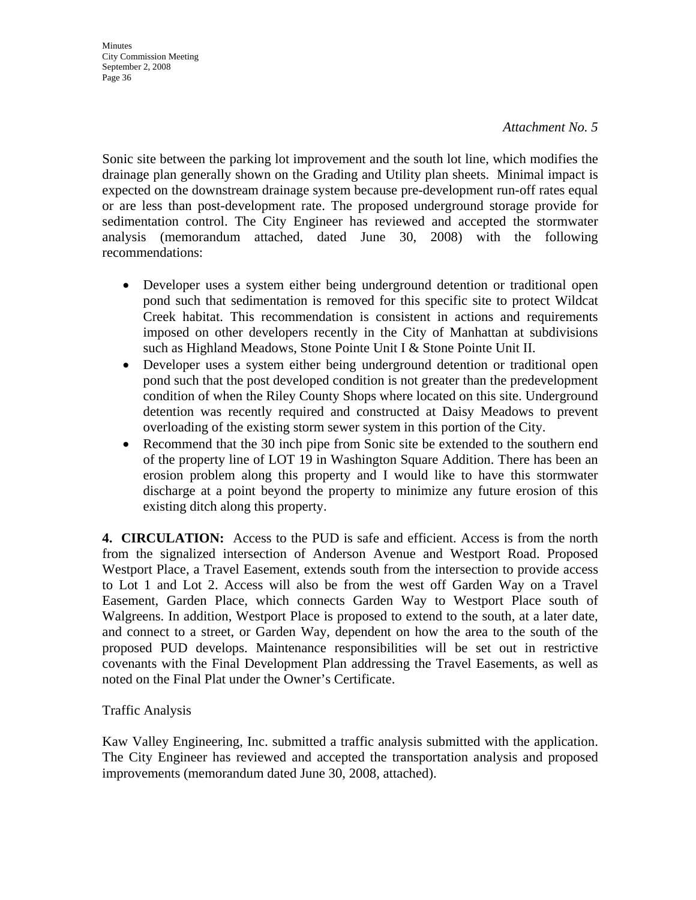**Minutes** City Commission Meeting September 2, 2008 Page 36

Sonic site between the parking lot improvement and the south lot line, which modifies the drainage plan generally shown on the Grading and Utility plan sheets. Minimal impact is expected on the downstream drainage system because pre-development run-off rates equal or are less than post-development rate. The proposed underground storage provide for sedimentation control. The City Engineer has reviewed and accepted the stormwater analysis (memorandum attached, dated June 30, 2008) with the following recommendations:

- Developer uses a system either being underground detention or traditional open pond such that sedimentation is removed for this specific site to protect Wildcat Creek habitat. This recommendation is consistent in actions and requirements imposed on other developers recently in the City of Manhattan at subdivisions such as Highland Meadows, Stone Pointe Unit I & Stone Pointe Unit II.
- Developer uses a system either being underground detention or traditional open pond such that the post developed condition is not greater than the predevelopment condition of when the Riley County Shops where located on this site. Underground detention was recently required and constructed at Daisy Meadows to prevent overloading of the existing storm sewer system in this portion of the City.
- Recommend that the 30 inch pipe from Sonic site be extended to the southern end of the property line of LOT 19 in Washington Square Addition. There has been an erosion problem along this property and I would like to have this stormwater discharge at a point beyond the property to minimize any future erosion of this existing ditch along this property.

**4. CIRCULATION:** Access to the PUD is safe and efficient. Access is from the north from the signalized intersection of Anderson Avenue and Westport Road. Proposed Westport Place, a Travel Easement, extends south from the intersection to provide access to Lot 1 and Lot 2. Access will also be from the west off Garden Way on a Travel Easement, Garden Place, which connects Garden Way to Westport Place south of Walgreens. In addition, Westport Place is proposed to extend to the south, at a later date, and connect to a street, or Garden Way, dependent on how the area to the south of the proposed PUD develops. Maintenance responsibilities will be set out in restrictive covenants with the Final Development Plan addressing the Travel Easements, as well as noted on the Final Plat under the Owner's Certificate.

Traffic Analysis

Kaw Valley Engineering, Inc. submitted a traffic analysis submitted with the application. The City Engineer has reviewed and accepted the transportation analysis and proposed improvements (memorandum dated June 30, 2008, attached).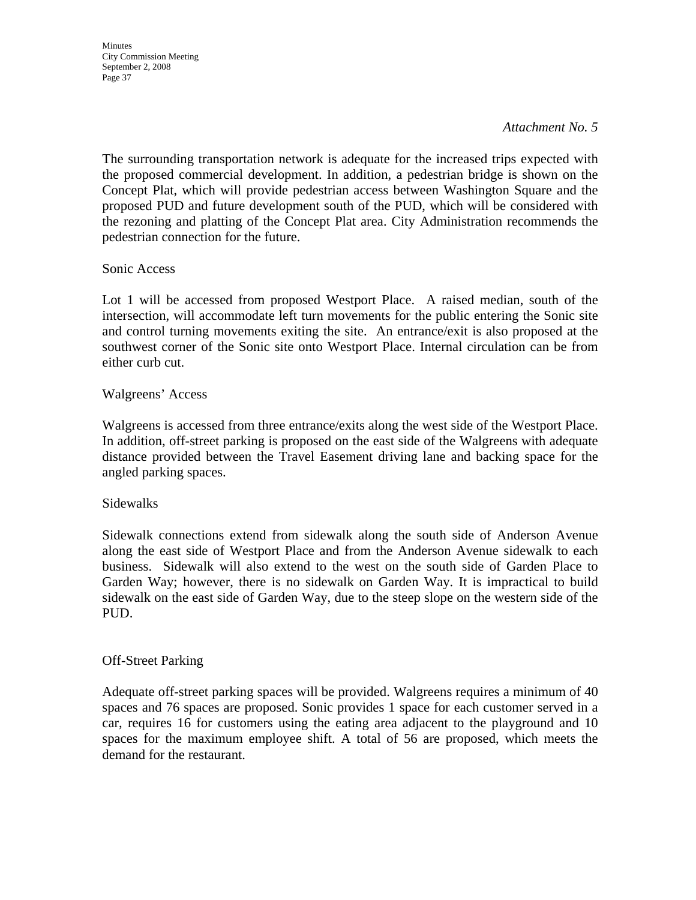**Minutes** City Commission Meeting September 2, 2008 Page 37

#### *Attachment No. 5*

The surrounding transportation network is adequate for the increased trips expected with the proposed commercial development. In addition, a pedestrian bridge is shown on the Concept Plat, which will provide pedestrian access between Washington Square and the proposed PUD and future development south of the PUD, which will be considered with the rezoning and platting of the Concept Plat area. City Administration recommends the pedestrian connection for the future.

### Sonic Access

Lot 1 will be accessed from proposed Westport Place. A raised median, south of the intersection, will accommodate left turn movements for the public entering the Sonic site and control turning movements exiting the site. An entrance/exit is also proposed at the southwest corner of the Sonic site onto Westport Place. Internal circulation can be from either curb cut.

### Walgreens' Access

Walgreens is accessed from three entrance/exits along the west side of the Westport Place. In addition, off-street parking is proposed on the east side of the Walgreens with adequate distance provided between the Travel Easement driving lane and backing space for the angled parking spaces.

### Sidewalks

Sidewalk connections extend from sidewalk along the south side of Anderson Avenue along the east side of Westport Place and from the Anderson Avenue sidewalk to each business. Sidewalk will also extend to the west on the south side of Garden Place to Garden Way; however, there is no sidewalk on Garden Way. It is impractical to build sidewalk on the east side of Garden Way, due to the steep slope on the western side of the PUD.

### Off-Street Parking

Adequate off-street parking spaces will be provided. Walgreens requires a minimum of 40 spaces and 76 spaces are proposed. Sonic provides 1 space for each customer served in a car, requires 16 for customers using the eating area adjacent to the playground and 10 spaces for the maximum employee shift. A total of 56 are proposed, which meets the demand for the restaurant.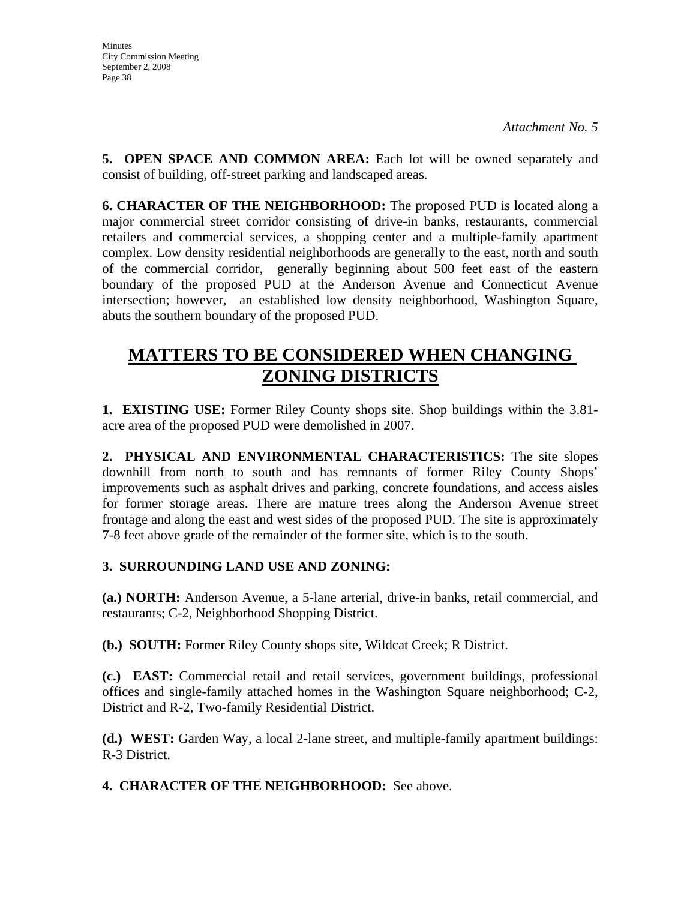**5. OPEN SPACE AND COMMON AREA:** Each lot will be owned separately and consist of building, off-street parking and landscaped areas.

**6. CHARACTER OF THE NEIGHBORHOOD:** The proposed PUD is located along a major commercial street corridor consisting of drive-in banks, restaurants, commercial retailers and commercial services, a shopping center and a multiple-family apartment complex. Low density residential neighborhoods are generally to the east, north and south of the commercial corridor, generally beginning about 500 feet east of the eastern boundary of the proposed PUD at the Anderson Avenue and Connecticut Avenue intersection; however, an established low density neighborhood, Washington Square, abuts the southern boundary of the proposed PUD.

# **MATTERS TO BE CONSIDERED WHEN CHANGING ZONING DISTRICTS**

**1. EXISTING USE:** Former Riley County shops site. Shop buildings within the 3.81 acre area of the proposed PUD were demolished in 2007.

**2. PHYSICAL AND ENVIRONMENTAL CHARACTERISTICS:** The site slopes downhill from north to south and has remnants of former Riley County Shops' improvements such as asphalt drives and parking, concrete foundations, and access aisles for former storage areas. There are mature trees along the Anderson Avenue street frontage and along the east and west sides of the proposed PUD. The site is approximately 7-8 feet above grade of the remainder of the former site, which is to the south.

# **3. SURROUNDING LAND USE AND ZONING:**

**(a.) NORTH:** Anderson Avenue, a 5-lane arterial, drive-in banks, retail commercial, and restaurants; C-2, Neighborhood Shopping District.

**(b.) SOUTH:** Former Riley County shops site, Wildcat Creek; R District.

**(c.) EAST:** Commercial retail and retail services, government buildings, professional offices and single-family attached homes in the Washington Square neighborhood; C-2, District and R-2, Two-family Residential District.

**(d.) WEST:** Garden Way, a local 2-lane street, and multiple-family apartment buildings: R-3 District.

**4. CHARACTER OF THE NEIGHBORHOOD:** See above.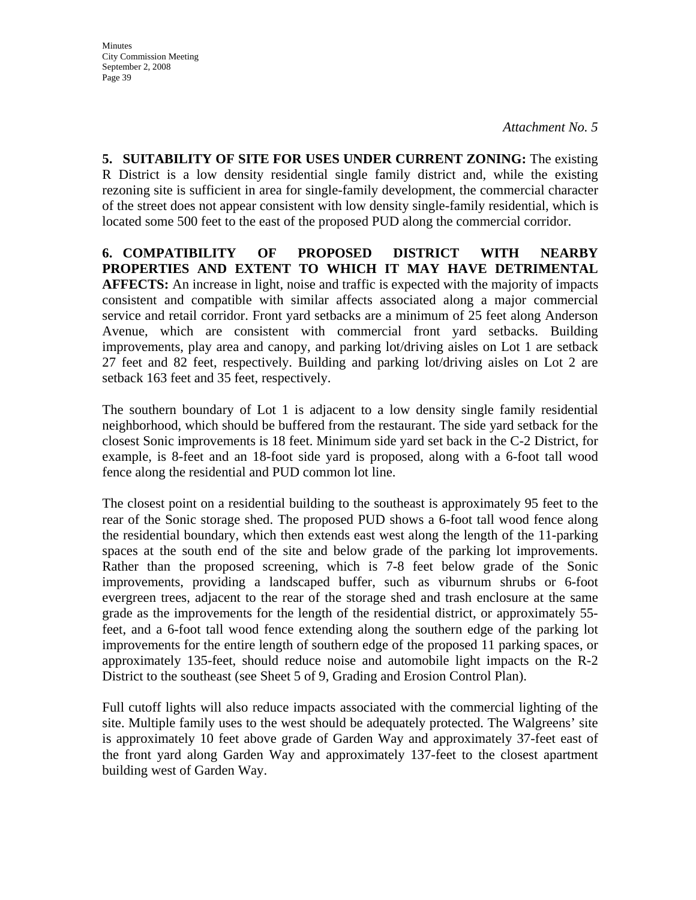**5. SUITABILITY OF SITE FOR USES UNDER CURRENT ZONING:** The existing R District is a low density residential single family district and, while the existing rezoning site is sufficient in area for single-family development, the commercial character of the street does not appear consistent with low density single-family residential, which is located some 500 feet to the east of the proposed PUD along the commercial corridor.

**6. COMPATIBILITY OF PROPOSED DISTRICT WITH NEARBY PROPERTIES AND EXTENT TO WHICH IT MAY HAVE DETRIMENTAL AFFECTS:** An increase in light, noise and traffic is expected with the majority of impacts consistent and compatible with similar affects associated along a major commercial service and retail corridor. Front yard setbacks are a minimum of 25 feet along Anderson Avenue, which are consistent with commercial front yard setbacks. Building improvements, play area and canopy, and parking lot/driving aisles on Lot 1 are setback 27 feet and 82 feet, respectively. Building and parking lot/driving aisles on Lot 2 are setback 163 feet and 35 feet, respectively.

The southern boundary of Lot 1 is adjacent to a low density single family residential neighborhood, which should be buffered from the restaurant. The side yard setback for the closest Sonic improvements is 18 feet. Minimum side yard set back in the C-2 District, for example, is 8-feet and an 18-foot side yard is proposed, along with a 6-foot tall wood fence along the residential and PUD common lot line.

The closest point on a residential building to the southeast is approximately 95 feet to the rear of the Sonic storage shed. The proposed PUD shows a 6-foot tall wood fence along the residential boundary, which then extends east west along the length of the 11-parking spaces at the south end of the site and below grade of the parking lot improvements. Rather than the proposed screening, which is 7-8 feet below grade of the Sonic improvements, providing a landscaped buffer, such as viburnum shrubs or 6-foot evergreen trees, adjacent to the rear of the storage shed and trash enclosure at the same grade as the improvements for the length of the residential district, or approximately 55 feet, and a 6-foot tall wood fence extending along the southern edge of the parking lot improvements for the entire length of southern edge of the proposed 11 parking spaces, or approximately 135-feet, should reduce noise and automobile light impacts on the R-2 District to the southeast (see Sheet 5 of 9, Grading and Erosion Control Plan).

Full cutoff lights will also reduce impacts associated with the commercial lighting of the site. Multiple family uses to the west should be adequately protected. The Walgreens' site is approximately 10 feet above grade of Garden Way and approximately 37-feet east of the front yard along Garden Way and approximately 137-feet to the closest apartment building west of Garden Way.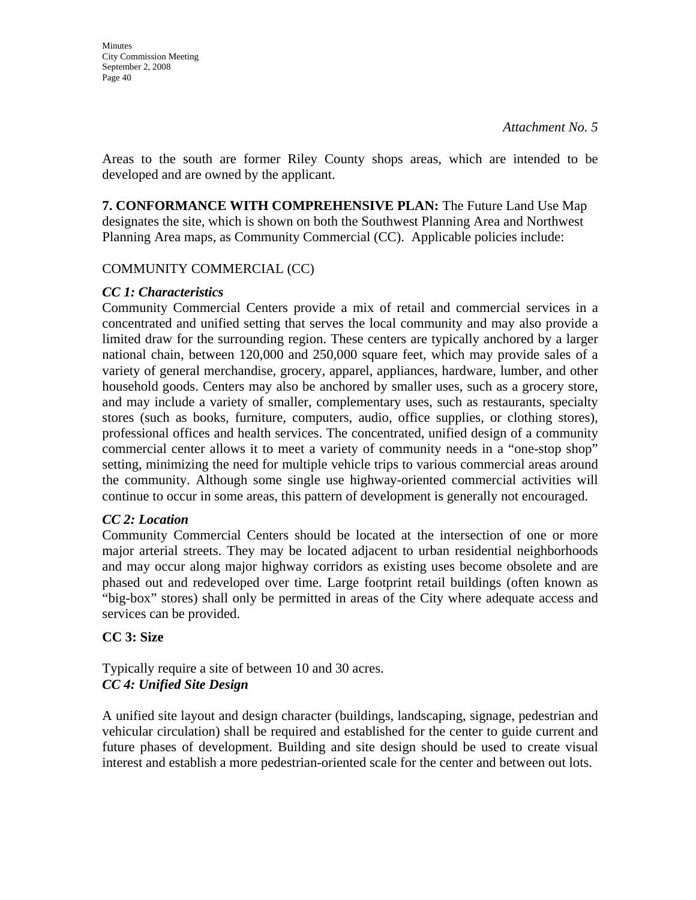Areas to the south are former Riley County shops areas, which are intended to be developed and are owned by the applicant.

**7. CONFORMANCE WITH COMPREHENSIVE PLAN:** The Future Land Use Map designates the site, which is shown on both the Southwest Planning Area and Northwest Planning Area maps, as Community Commercial (CC). Applicable policies include:

## COMMUNITY COMMERCIAL (CC)

## *CC 1: Characteristics*

Community Commercial Centers provide a mix of retail and commercial services in a concentrated and unified setting that serves the local community and may also provide a limited draw for the surrounding region. These centers are typically anchored by a larger national chain, between 120,000 and 250,000 square feet, which may provide sales of a variety of general merchandise, grocery, apparel, appliances, hardware, lumber, and other household goods. Centers may also be anchored by smaller uses, such as a grocery store, and may include a variety of smaller, complementary uses, such as restaurants, specialty stores (such as books, furniture, computers, audio, office supplies, or clothing stores), professional offices and health services. The concentrated, unified design of a community commercial center allows it to meet a variety of community needs in a "one-stop shop" setting, minimizing the need for multiple vehicle trips to various commercial areas around the community. Although some single use highway-oriented commercial activities will continue to occur in some areas, this pattern of development is generally not encouraged.

## *CC 2: Location*

Community Commercial Centers should be located at the intersection of one or more major arterial streets. They may be located adjacent to urban residential neighborhoods and may occur along major highway corridors as existing uses become obsolete and are phased out and redeveloped over time. Large footprint retail buildings (often known as "big-box" stores) shall only be permitted in areas of the City where adequate access and services can be provided.

## **CC 3: Size**

### Typically require a site of between 10 and 30 acres. *CC 4: Unified Site Design*

A unified site layout and design character (buildings, landscaping, signage, pedestrian and vehicular circulation) shall be required and established for the center to guide current and future phases of development. Building and site design should be used to create visual interest and establish a more pedestrian-oriented scale for the center and between out lots.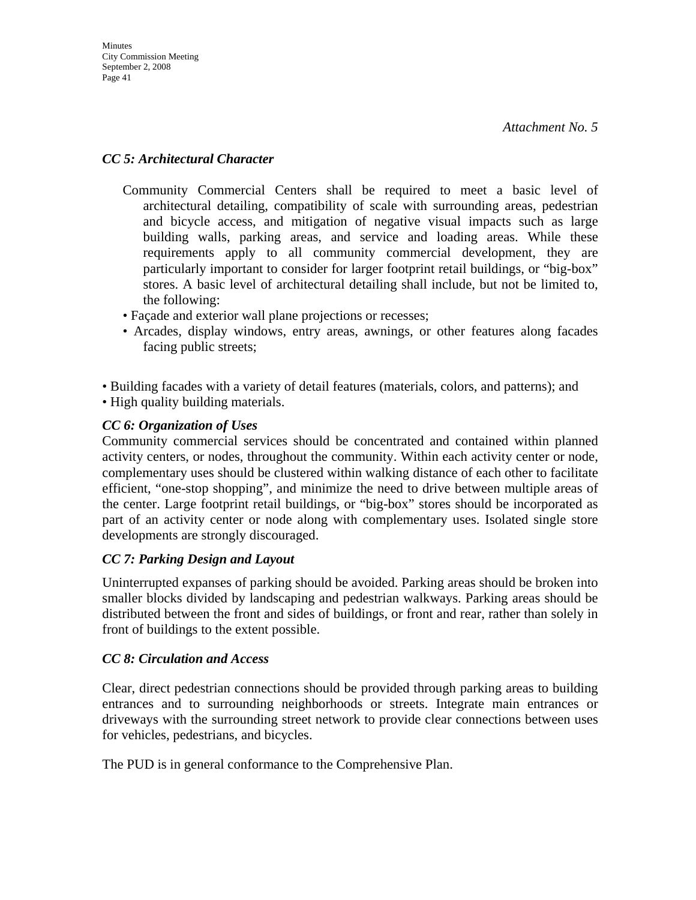# *CC 5: Architectural Character*

- Community Commercial Centers shall be required to meet a basic level of architectural detailing, compatibility of scale with surrounding areas, pedestrian and bicycle access, and mitigation of negative visual impacts such as large building walls, parking areas, and service and loading areas. While these requirements apply to all community commercial development, they are particularly important to consider for larger footprint retail buildings, or "big-box" stores. A basic level of architectural detailing shall include, but not be limited to, the following:
- Façade and exterior wall plane projections or recesses;
- Arcades, display windows, entry areas, awnings, or other features along facades facing public streets;

• Building facades with a variety of detail features (materials, colors, and patterns); and • High quality building materials.

## *CC 6: Organization of Uses*

Community commercial services should be concentrated and contained within planned activity centers, or nodes, throughout the community. Within each activity center or node, complementary uses should be clustered within walking distance of each other to facilitate efficient, "one-stop shopping", and minimize the need to drive between multiple areas of the center. Large footprint retail buildings, or "big-box" stores should be incorporated as part of an activity center or node along with complementary uses. Isolated single store developments are strongly discouraged.

## *CC 7: Parking Design and Layout*

Uninterrupted expanses of parking should be avoided. Parking areas should be broken into smaller blocks divided by landscaping and pedestrian walkways. Parking areas should be distributed between the front and sides of buildings, or front and rear, rather than solely in front of buildings to the extent possible.

## *CC 8: Circulation and Access*

Clear, direct pedestrian connections should be provided through parking areas to building entrances and to surrounding neighborhoods or streets. Integrate main entrances or driveways with the surrounding street network to provide clear connections between uses for vehicles, pedestrians, and bicycles.

The PUD is in general conformance to the Comprehensive Plan.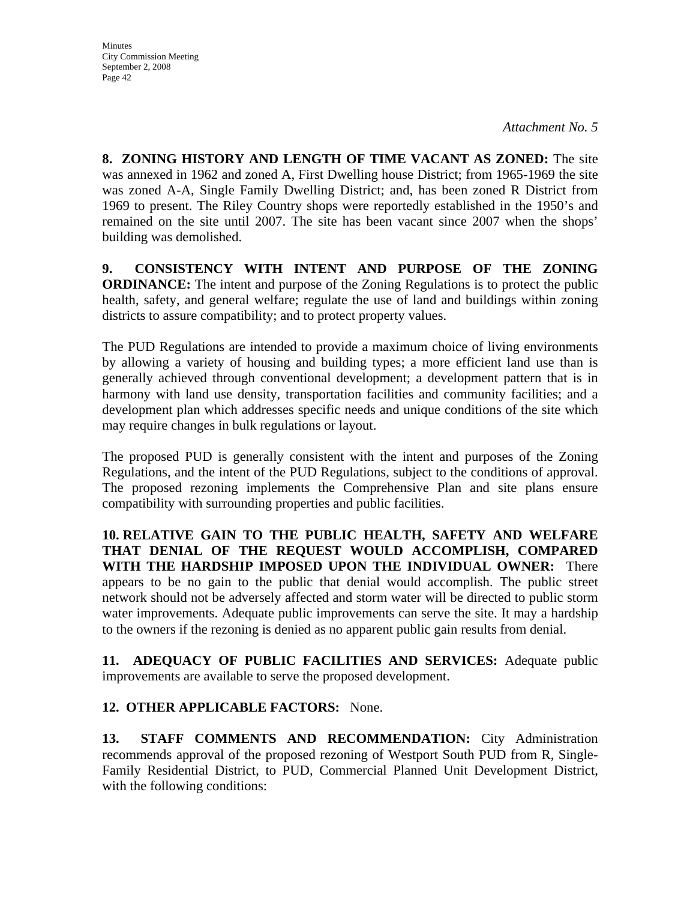**8. ZONING HISTORY AND LENGTH OF TIME VACANT AS ZONED:** The site was annexed in 1962 and zoned A, First Dwelling house District; from 1965-1969 the site was zoned A-A, Single Family Dwelling District; and, has been zoned R District from 1969 to present. The Riley Country shops were reportedly established in the 1950's and remained on the site until 2007. The site has been vacant since 2007 when the shops' building was demolished.

**9. CONSISTENCY WITH INTENT AND PURPOSE OF THE ZONING ORDINANCE:** The intent and purpose of the Zoning Regulations is to protect the public health, safety, and general welfare; regulate the use of land and buildings within zoning districts to assure compatibility; and to protect property values.

The PUD Regulations are intended to provide a maximum choice of living environments by allowing a variety of housing and building types; a more efficient land use than is generally achieved through conventional development; a development pattern that is in harmony with land use density, transportation facilities and community facilities; and a development plan which addresses specific needs and unique conditions of the site which may require changes in bulk regulations or layout.

The proposed PUD is generally consistent with the intent and purposes of the Zoning Regulations, and the intent of the PUD Regulations, subject to the conditions of approval. The proposed rezoning implements the Comprehensive Plan and site plans ensure compatibility with surrounding properties and public facilities.

**10. RELATIVE GAIN TO THE PUBLIC HEALTH, SAFETY AND WELFARE THAT DENIAL OF THE REQUEST WOULD ACCOMPLISH, COMPARED WITH THE HARDSHIP IMPOSED UPON THE INDIVIDUAL OWNER:** There appears to be no gain to the public that denial would accomplish. The public street network should not be adversely affected and storm water will be directed to public storm water improvements. Adequate public improvements can serve the site. It may a hardship to the owners if the rezoning is denied as no apparent public gain results from denial.

**11. ADEQUACY OF PUBLIC FACILITIES AND SERVICES:** Adequate public improvements are available to serve the proposed development.

# **12. OTHER APPLICABLE FACTORS:** None.

**13. STAFF COMMENTS AND RECOMMENDATION:** City Administration recommends approval of the proposed rezoning of Westport South PUD from R, Single-Family Residential District, to PUD, Commercial Planned Unit Development District, with the following conditions: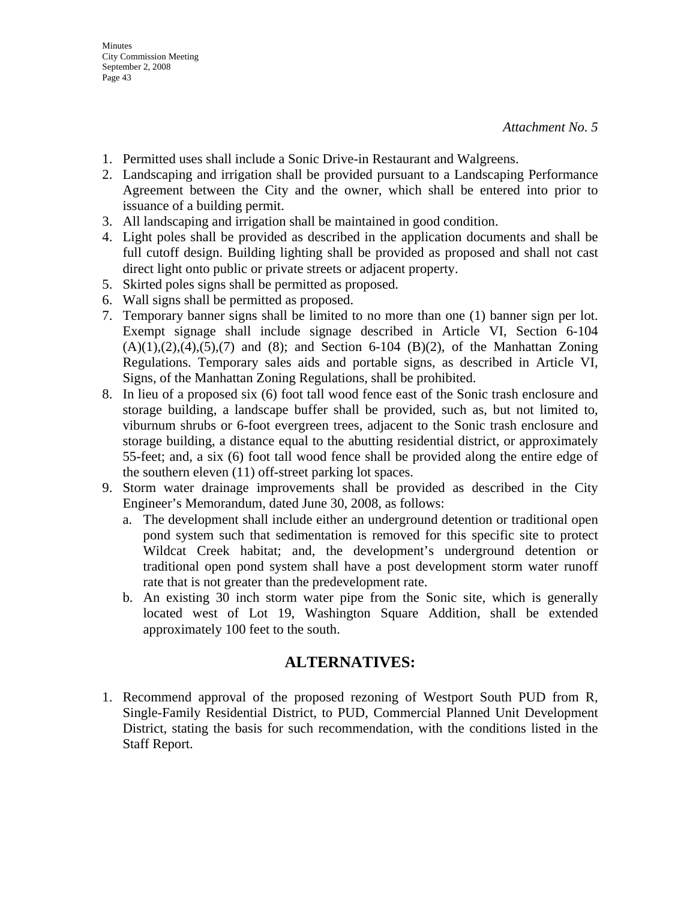- 1. Permitted uses shall include a Sonic Drive-in Restaurant and Walgreens.
- 2. Landscaping and irrigation shall be provided pursuant to a Landscaping Performance Agreement between the City and the owner, which shall be entered into prior to issuance of a building permit.
- 3. All landscaping and irrigation shall be maintained in good condition.
- 4. Light poles shall be provided as described in the application documents and shall be full cutoff design. Building lighting shall be provided as proposed and shall not cast direct light onto public or private streets or adjacent property.
- 5. Skirted poles signs shall be permitted as proposed.
- 6. Wall signs shall be permitted as proposed.
- 7. Temporary banner signs shall be limited to no more than one (1) banner sign per lot. Exempt signage shall include signage described in Article VI, Section 6-104  $(A)(1),(2),(4),(5),(7)$  and  $(8)$ ; and Section 6-104  $(B)(2)$ , of the Manhattan Zoning Regulations. Temporary sales aids and portable signs, as described in Article VI, Signs, of the Manhattan Zoning Regulations, shall be prohibited.
- 8. In lieu of a proposed six (6) foot tall wood fence east of the Sonic trash enclosure and storage building, a landscape buffer shall be provided, such as, but not limited to, viburnum shrubs or 6-foot evergreen trees, adjacent to the Sonic trash enclosure and storage building, a distance equal to the abutting residential district, or approximately 55-feet; and, a six (6) foot tall wood fence shall be provided along the entire edge of the southern eleven (11) off-street parking lot spaces.
- 9. Storm water drainage improvements shall be provided as described in the City Engineer's Memorandum, dated June 30, 2008, as follows:
	- a. The development shall include either an underground detention or traditional open pond system such that sedimentation is removed for this specific site to protect Wildcat Creek habitat; and, the development's underground detention or traditional open pond system shall have a post development storm water runoff rate that is not greater than the predevelopment rate.
	- b. An existing 30 inch storm water pipe from the Sonic site, which is generally located west of Lot 19, Washington Square Addition, shall be extended approximately 100 feet to the south.

# **ALTERNATIVES:**

1. Recommend approval of the proposed rezoning of Westport South PUD from R, Single-Family Residential District, to PUD, Commercial Planned Unit Development District, stating the basis for such recommendation, with the conditions listed in the Staff Report.